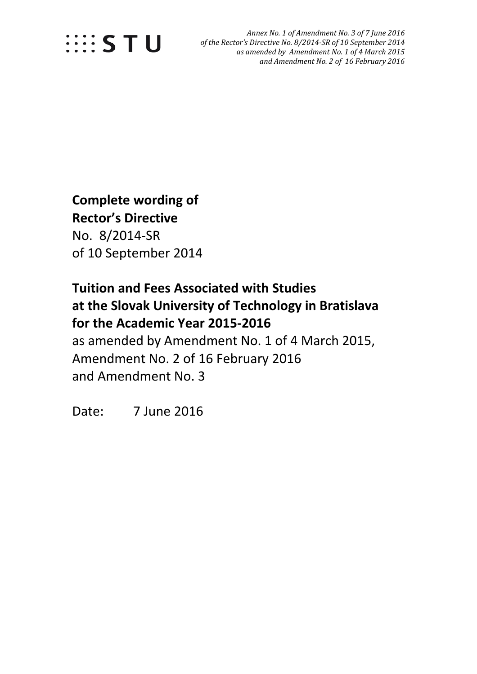

 *Annex No. 1 of Amendment No. 3 of 7 June 2016 of the Rector's Directive No. 8/2014-SR of 10 September 2014 as amended by Amendment No. 1 of 4 March 2015 and Amendment No. 2 of 16 February 2016*

## **Complete wording of Rector's Directive**  No. 8/2014-SR of 10 September 2014

### **Tuition and Fees Associated with Studies at the Slovak University of Technology in Bratislava for the Academic Year 2015-2016**

as amended by Amendment No. 1 of 4 March 2015, Amendment No. 2 of 16 February 2016 and Amendment No. 3

Date: 7 June 2016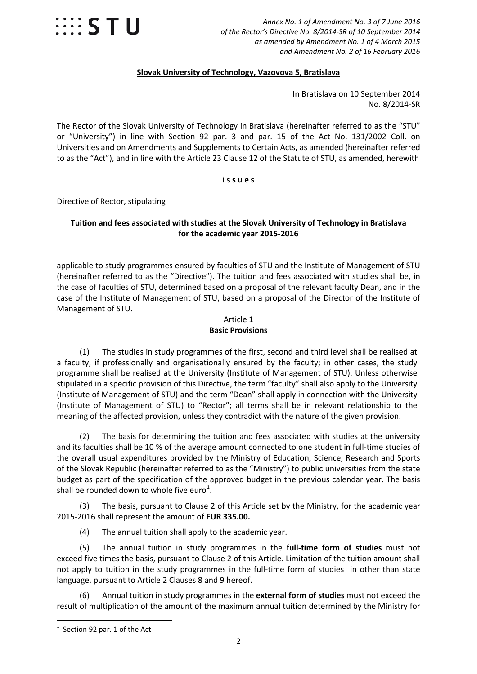

 *Annex No. 1 of Amendment No. 3 of 7 June 2016 of the Rector's Directive No. 8/2014-SR of 10 September 2014 as amended by Amendment No. 1 of 4 March 2015 and Amendment No. 2 of 16 February 2016*

#### **Slovak University of Technology, Vazovova 5, Bratislava**

In Bratislava on 10 September 2014 No. 8/2014-SR

The Rector of the Slovak University of Technology in Bratislava (hereinafter referred to as the "STU" or "University") in line with Section 92 par. 3 and par. 15 of the Act No. 131/2002 Coll. on Universities and on Amendments and Supplements to Certain Acts, as amended (hereinafter referred to as the "Act"), and in line with the Article 23 Clause 12 of the Statute of STU, as amended, herewith

#### **i s s u e s**

Directive of Rector, stipulating

#### **Tuition and fees associated with studies at the Slovak University of Technology in Bratislava for the academic year 2015-2016**

applicable to study programmes ensured by faculties of STU and the Institute of Management of STU (hereinafter referred to as the "Directive"). The tuition and fees associated with studies shall be, in the case of faculties of STU, determined based on a proposal of the relevant faculty Dean, and in the case of the Institute of Management of STU, based on a proposal of the Director of the Institute of Management of STU.

#### Article 1 **Basic Provisions**

(1) The studies in study programmes of the first, second and third level shall be realised at a faculty, if professionally and organisationally ensured by the faculty; in other cases, the study programme shall be realised at the University (Institute of Management of STU). Unless otherwise stipulated in a specific provision of this Directive, the term "faculty" shall also apply to the University (Institute of Management of STU) and the term "Dean" shall apply in connection with the University (Institute of Management of STU) to "Rector"; all terms shall be in relevant relationship to the meaning of the affected provision, unless they contradict with the nature of the given provision.

(2) The basis for determining the tuition and fees associated with studies at the university and its faculties shall be 10 % of the average amount connected to one student in full-time studies of the overall usual expenditures provided by the Ministry of Education, Science, Research and Sports of the Slovak Republic (hereinafter referred to as the "Ministry") to public universities from the state budget as part of the specification of the approved budget in the previous calendar year. The basis shall be rounded down to whole five euro<sup>[1](#page-1-0)</sup>.

(3) The basis, pursuant to Clause 2 of this Article set by the Ministry, for the academic year 2015-2016 shall represent the amount of **EUR 335.00.**

(4) The annual tuition shall apply to the academic year.

(5) The annual tuition in study programmes in the **full-time form of studies** must not exceed five times the basis, pursuant to Clause 2 of this Article. Limitation of the tuition amount shall not apply to tuition in the study programmes in the full-time form of studies in other than state language, pursuant to Article 2 Clauses 8 and 9 hereof.

(6) Annual tuition in study programmes in the **external form of studies** must not exceed the result of multiplication of the amount of the maximum annual tuition determined by the Ministry for

<span id="page-1-0"></span>1 Section 92 par. 1 of the Act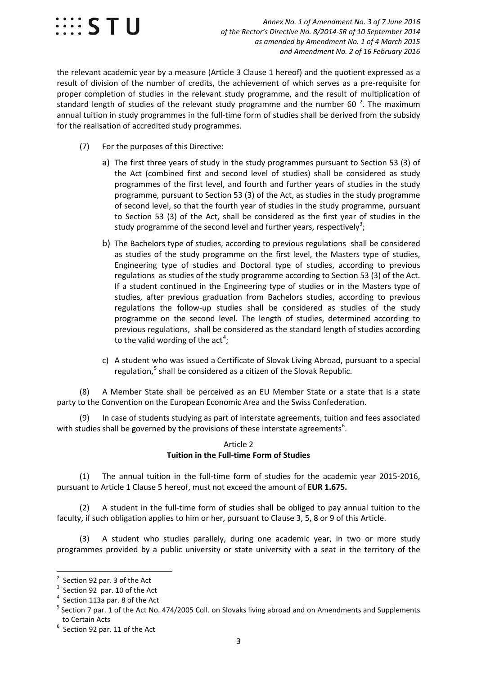

 *Annex No. 1 of Amendment No. 3 of 7 June 2016 of the Rector's Directive No. 8/2014-SR of 10 September 2014 as amended by Amendment No. 1 of 4 March 2015 and Amendment No. 2 of 16 February 2016*

the relevant academic year by a measure (Article 3 Clause 1 hereof) and the quotient expressed as a result of division of the number of credits, the achievement of which serves as a pre-requisite for proper completion of studies in the relevant study programme, and the result of multiplication of standard length of studies of the relevant study programme and the number 60  $^{2}$  $^{2}$  $^{2}$ . The maximum annual tuition in study programmes in the full-time form of studies shall be derived from the subsidy for the realisation of accredited study programmes.

- (7) For the purposes of this Directive:
	- a) The first three years of study in the study programmes pursuant to Section 53 (3) of the Act (combined first and second level of studies) shall be considered as study programmes of the first level, and fourth and further years of studies in the study programme, pursuant to Section 53 (3) of the Act, as studies in the study programme of second level, so that the fourth year of studies in the study programme, pursuant to Section 53 (3) of the Act, shall be considered as the first year of studies in the study programme of the second level and further years, respectively<sup>[3](#page-2-1)</sup>;
	- b) The Bachelors type of studies, according to previous regulations shall be considered as studies of the study programme on the first level, the Masters type of studies, Engineering type of studies and Doctoral type of studies, according to previous regulations as studies of the study programme according to Section 53 (3) of the Act. If a student continued in the Engineering type of studies or in the Masters type of studies, after previous graduation from Bachelors studies, according to previous regulations the follow-up studies shall be considered as studies of the study programme on the second level. The length of studies, determined according to previous regulations, shall be considered as the standard length of studies according to the valid wording of the act<sup>[4](#page-2-2)</sup>;
	- c) A student who was issued a Certificate of Slovak Living Abroad, pursuant to a special regulation, [5](#page-2-3) shall be considered as a citizen of the Slovak Republic.

(8) A Member State shall be perceived as an EU Member State or a state that is a state party to the Convention on the European Economic Area and the Swiss Confederation.

(9) In case of students studying as part of interstate agreements, tuition and fees associated with studies shall be governed by the provisions of these interstate agreements<sup>[6](#page-2-4)</sup>.

#### Article 2 **Tuition in the Full-time Form of Studies**

(1) The annual tuition in the full-time form of studies for the academic year 2015-2016, pursuant to Article 1 Clause 5 hereof, must not exceed the amount of **EUR 1.675.**

(2) A student in the full-time form of studies shall be obliged to pay annual tuition to the faculty, if such obligation applies to him or her, pursuant to Clause 3, 5, 8 or 9 of this Article.

(3) A student who studies parallely, during one academic year, in two or more study programmes provided by a public university or state university with a seat in the territory of the

<span id="page-2-0"></span> $\overline{2}$  $\frac{2}{3}$  Section 92 par. 3 of the Act  $\frac{3}{3}$  Section 92, par. 10 of the Act

<span id="page-2-1"></span> $3$  Section 92 par. 10 of the Act<br> $4$  Section 113a par. 8 of the Act

<span id="page-2-3"></span><span id="page-2-2"></span> $5$  Section 7 par. 1 of the Act No. 474/2005 Coll. on Slovaks living abroad and on Amendments and Supplements to Certain Acts

<span id="page-2-4"></span> $<sup>6</sup>$  Section 92 par. 11 of the Act</sup>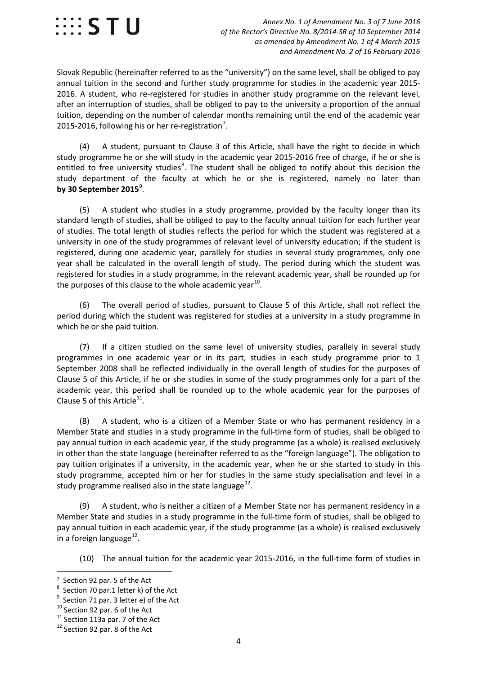

Slovak Republic (hereinafter referred to as the "university") on the same level, shall be obliged to pay annual tuition in the second and further study programme for studies in the academic year 2015- 2016. A student, who re-registered for studies in another study programme on the relevant level, after an interruption of studies, shall be obliged to pay to the university a proportion of the annual tuition, depending on the number of calendar months remaining until the end of the academic year 2015-2016, following his or her re-registration<sup>[7](#page-3-0)</sup>.

(4) A student, pursuant to Clause 3 of this Article, shall have the right to decide in which study programme he or she will study in the academic year 2015-2016 free of charge, if he or she is entitled to free university studies<sup>[8](#page-3-1)</sup>. The student shall be obliged to notify about this decision the study department of the faculty at which he or she is registered, namely no later than **by 30 September 2015**[9](#page-3-2) .

(5) A student who studies in a study programme, provided by the faculty longer than its standard length of studies, shall be obliged to pay to the faculty annual tuition for each further year of studies. The total length of studies reflects the period for which the student was registered at a university in one of the study programmes of relevant level of university education; if the student is registered, during one academic year, parallely for studies in several study programmes, only one year shall be calculated in the overall length of study. The period during which the student was registered for studies in a study programme, in the relevant academic year, shall be rounded up for the purposes of this clause to the whole academic year<sup>[10](#page-3-3)</sup>.

(6) The overall period of studies, pursuant to Clause 5 of this Article, shall not reflect the period during which the student was registered for studies at a university in a study programme in which he or she paid tuition.

(7) If a citizen studied on the same level of university studies, parallely in several study programmes in one academic year or in its part, studies in each study programme prior to 1 September 2008 shall be reflected individually in the overall length of studies for the purposes of Clause 5 of this Article, if he or she studies in some of the study programmes only for a part of the academic year, this period shall be rounded up to the whole academic year for the purposes of Clause 5 of this Article $^{11}$ .

(8) A student, who is a citizen of a Member State or who has permanent residency in a Member State and studies in a study programme in the full-time form of studies, shall be obliged to pay annual tuition in each academic year, if the study programme (as a whole) is realised exclusively in other than the state language (hereinafter referred to as the "foreign language"). The obligation to pay tuition originates if a university, in the academic year, when he or she started to study in this study programme, accepted him or her for studies in the same study specialisation and level in a study programme realised also in the state language $^{12}$  $^{12}$  $^{12}$ .

(9) A student, who is neither a citizen of a Member State nor has permanent residency in a Member State and studies in a study programme in the full-time form of studies, shall be obliged to pay annual tuition in each academic year, if the study programme (as a whole) is realised exclusively in a foreign language $^{12}$ .

(10) The annual tuition for the academic year 2015-2016, in the full-time form of studies in

<span id="page-3-0"></span>Section 92 par. 5 of the Act

<span id="page-3-1"></span> $\frac{8}{9}$  Section 70 par.1 letter k) of the Act<br> $\frac{9}{9}$  Section 71 par. 3 letter e) of the Act

<span id="page-3-2"></span>

<span id="page-3-4"></span><span id="page-3-3"></span><sup>&</sup>lt;sup>10</sup> Section 92 par. 6 of the Act  $11$  Section 113a par. 7 of the Act  $12$  Section 92 par. 8 of the Act

<span id="page-3-5"></span>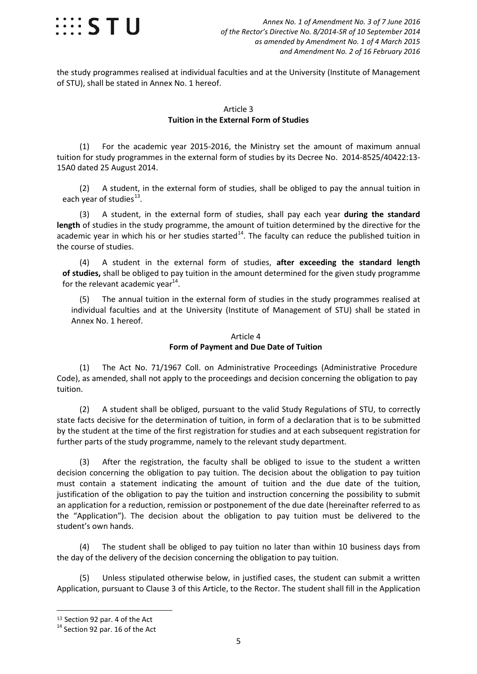

the study programmes realised at individual faculties and at the University (Institute of Management of STU), shall be stated in Annex No. 1 hereof.

#### Article 3 **Tuition in the External Form of Studies**

(1) For the academic year 2015-2016, the Ministry set the amount of maximum annual tuition for study programmes in the external form of studies by its Decree No. 2014-8525/40422:13- 15A0 dated 25 August 2014.

(2) A student, in the external form of studies, shall be obliged to pay the annual tuition in each year of studies $^{13}$ .

(3) A student, in the external form of studies, shall pay each year **during the standard length** of studies in the study programme, the amount of tuition determined by the directive for the academic year in which his or her studies started<sup>14</sup>. The faculty can reduce the published tuition in the course of studies.

(4) A student in the external form of studies, **after exceeding the standard length of studies,** shall be obliged to pay tuition in the amount determined for the given study programme for the relevant academic year $14$ .

(5) The annual tuition in the external form of studies in the study programmes realised at individual faculties and at the University (Institute of Management of STU) shall be stated in Annex No. 1 hereof.

#### Article 4 **Form of Payment and Due Date of Tuition**

(1) The Act No. 71/1967 Coll. on Administrative Proceedings (Administrative Procedure Code), as amended, shall not apply to the proceedings and decision concerning the obligation to pay tuition.

(2) A student shall be obliged, pursuant to the valid Study Regulations of STU, to correctly state facts decisive for the determination of tuition, in form of a declaration that is to be submitted by the student at the time of the first registration for studies and at each subsequent registration for further parts of the study programme, namely to the relevant study department.

(3) After the registration, the faculty shall be obliged to issue to the student a written decision concerning the obligation to pay tuition. The decision about the obligation to pay tuition must contain a statement indicating the amount of tuition and the due date of the tuition, justification of the obligation to pay the tuition and instruction concerning the possibility to submit an application for a reduction, remission or postponement of the due date (hereinafter referred to as the "Application"). The decision about the obligation to pay tuition must be delivered to the student's own hands.

(4) The student shall be obliged to pay tuition no later than within 10 business days from the day of the delivery of the decision concerning the obligation to pay tuition.

(5) Unless stipulated otherwise below, in justified cases, the student can submit a written Application, pursuant to Clause 3 of this Article, to the Rector. The student shall fill in the Application

<span id="page-4-1"></span><span id="page-4-0"></span><sup>&</sup>lt;sup>13</sup> Section 92 par. 4 of the Act<br> $14$  Section 92 par. 16 of the Act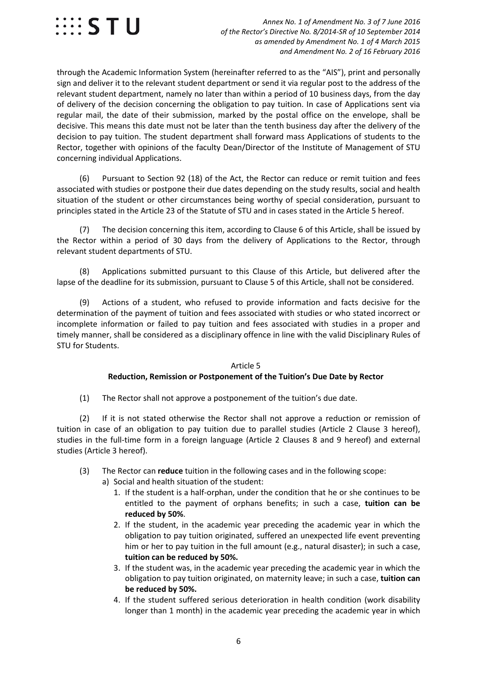

 *Annex No. 1 of Amendment No. 3 of 7 June 2016 of the Rector's Directive No. 8/2014-SR of 10 September 2014 as amended by Amendment No. 1 of 4 March 2015 and Amendment No. 2 of 16 February 2016*

through the Academic Information System (hereinafter referred to as the "AIS"), print and personally sign and deliver it to the relevant student department or send it via regular post to the address of the relevant student department, namely no later than within a period of 10 business days, from the day of delivery of the decision concerning the obligation to pay tuition. In case of Applications sent via regular mail, the date of their submission, marked by the postal office on the envelope, shall be decisive. This means this date must not be later than the tenth business day after the delivery of the decision to pay tuition. The student department shall forward mass Applications of students to the Rector, together with opinions of the faculty Dean/Director of the Institute of Management of STU concerning individual Applications.

(6) Pursuant to Section 92 (18) of the Act, the Rector can reduce or remit tuition and fees associated with studies or postpone their due dates depending on the study results, social and health situation of the student or other circumstances being worthy of special consideration, pursuant to principles stated in the Article 23 of the Statute of STU and in cases stated in the Article 5 hereof.

(7) The decision concerning this item, according to Clause 6 of this Article, shall be issued by the Rector within a period of 30 days from the delivery of Applications to the Rector, through relevant student departments of STU.

(8) Applications submitted pursuant to this Clause of this Article, but delivered after the lapse of the deadline for its submission, pursuant to Clause 5 of this Article, shall not be considered.

(9) Actions of a student, who refused to provide information and facts decisive for the determination of the payment of tuition and fees associated with studies or who stated incorrect or incomplete information or failed to pay tuition and fees associated with studies in a proper and timely manner, shall be considered as a disciplinary offence in line with the valid Disciplinary Rules of STU for Students.

#### Article 5 **Reduction, Remission or Postponement of the Tuition's Due Date by Rector**

(1) The Rector shall not approve a postponement of the tuition's due date.

(2) If it is not stated otherwise the Rector shall not approve a reduction or remission of tuition in case of an obligation to pay tuition due to parallel studies (Article 2 Clause 3 hereof), studies in the full-time form in a foreign language (Article 2 Clauses 8 and 9 hereof) and external studies (Article 3 hereof).

- (3) The Rector can **reduce** tuition in the following cases and in the following scope:
	- a) Social and health situation of the student:
		- 1. If the student is a half-orphan, under the condition that he or she continues to be entitled to the payment of orphans benefits; in such a case, **tuition can be reduced by 50%**.
		- 2. If the student, in the academic year preceding the academic year in which the obligation to pay tuition originated, suffered an unexpected life event preventing him or her to pay tuition in the full amount (e.g., natural disaster); in such a case, **tuition can be reduced by 50%.**
		- 3. If the student was, in the academic year preceding the academic year in which the obligation to pay tuition originated, on maternity leave; in such a case, **tuition can be reduced by 50%.**
		- 4. If the student suffered serious deterioration in health condition (work disability longer than 1 month) in the academic year preceding the academic year in which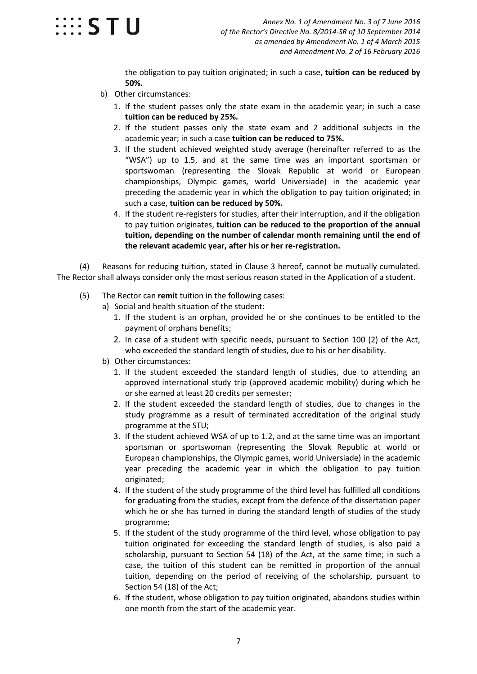

the obligation to pay tuition originated; in such a case, **tuition can be reduced by 50%.**

- b) Other circumstances:
	- 1. If the student passes only the state exam in the academic year; in such a case **tuition can be reduced by 25%.**
	- 2. If the student passes only the state exam and 2 additional subjects in the academic year; in such a case **tuition can be reduced to 75%.**
	- 3. If the student achieved weighted study average (hereinafter referred to as the "WSA") up to 1.5, and at the same time was an important sportsman or sportswoman (representing the Slovak Republic at world or European championships, Olympic games, world Universiade) in the academic year preceding the academic year in which the obligation to pay tuition originated; in such a case, **tuition can be reduced by 50%.**
	- 4. If the student re-registers for studies, after their interruption, and if the obligation to pay tuition originates, **tuition can be reduced to the proportion of the annual tuition, depending on the number of calendar month remaining until the end of the relevant academic year, after his or her re-registration.**

(4) Reasons for reducing tuition, stated in Clause 3 hereof, cannot be mutually cumulated. The Rector shall always consider only the most serious reason stated in the Application of a student.

- (5) The Rector can **remit** tuition in the following cases:
	- a) Social and health situation of the student:
		- 1. If the student is an orphan, provided he or she continues to be entitled to the payment of orphans benefits;
		- 2. In case of a student with specific needs, pursuant to Section 100 (2) of the Act, who exceeded the standard length of studies, due to his or her disability.
	- b) Other circumstances:
		- 1. If the student exceeded the standard length of studies, due to attending an approved international study trip (approved academic mobility) during which he or she earned at least 20 credits per semester;
		- 2. If the student exceeded the standard length of studies, due to changes in the study programme as a result of terminated accreditation of the original study programme at the STU;
		- 3. If the student achieved WSA of up to 1.2, and at the same time was an important sportsman or sportswoman (representing the Slovak Republic at world or European championships, the Olympic games, world Universiade) in the academic year preceding the academic year in which the obligation to pay tuition originated;
		- 4. If the student of the study programme of the third level has fulfilled all conditions for graduating from the studies, except from the defence of the dissertation paper which he or she has turned in during the standard length of studies of the study programme;
		- 5. If the student of the study programme of the third level, whose obligation to pay tuition originated for exceeding the standard length of studies, is also paid a scholarship, pursuant to Section 54 (18) of the Act, at the same time; in such a case, the tuition of this student can be remitted in proportion of the annual tuition, depending on the period of receiving of the scholarship, pursuant to Section 54 (18) of the Act;
		- 6. If the student, whose obligation to pay tuition originated, abandons studies within one month from the start of the academic year.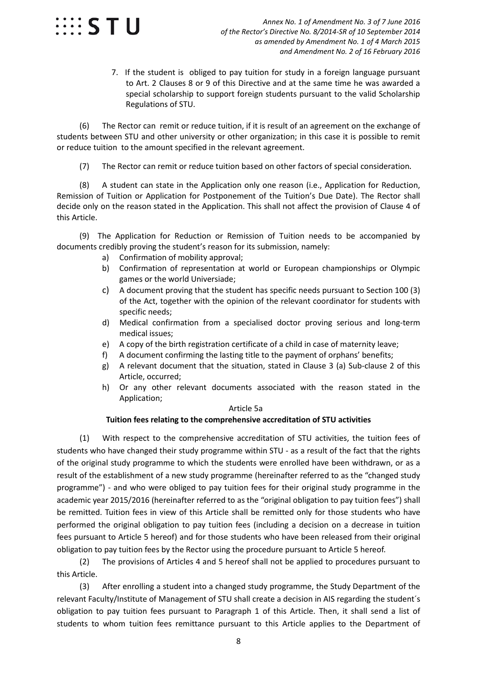

7. If the student is obliged to pay tuition for study in a foreign language pursuant to Art. 2 Clauses 8 or 9 of this Directive and at the same time he was awarded a special scholarship to support foreign students pursuant to the valid Scholarship Regulations of STU.

(6) The Rector can remit or reduce tuition, if it is result of an agreement on the exchange of students between STU and other university or other organization; in this case it is possible to remit or reduce tuition to the amount specified in the relevant agreement.

(7) The Rector can remit or reduce tuition based on other factors of special consideration.

(8) A student can state in the Application only one reason (i.e., Application for Reduction, Remission of Tuition or Application for Postponement of the Tuition's Due Date). The Rector shall decide only on the reason stated in the Application. This shall not affect the provision of Clause 4 of this Article.

(9) The Application for Reduction or Remission of Tuition needs to be accompanied by documents credibly proving the student's reason for its submission, namely:

- a) Confirmation of mobility approval;
- b) Confirmation of representation at world or European championships or Olympic games or the world Universiade;
- c) A document proving that the student has specific needs pursuant to Section 100 (3) of the Act, together with the opinion of the relevant coordinator for students with specific needs;
- d) Medical confirmation from a specialised doctor proving serious and long-term medical issues;
- e) A copy of the birth registration certificate of a child in case of maternity leave;
- f) A document confirming the lasting title to the payment of orphans' benefits;
- g) A relevant document that the situation, stated in Clause 3 (a) Sub-clause 2 of this Article, occurred;
- h) Or any other relevant documents associated with the reason stated in the Application;

#### Article 5a **Tuition fees relating to the comprehensive accreditation of STU activities**

(1) With respect to the comprehensive accreditation of STU activities, the tuition fees of students who have changed their study programme within STU - as a result of the fact that the rights of the original study programme to which the students were enrolled have been withdrawn, or as a result of the establishment of a new study programme (hereinafter referred to as the "changed study programme") - and who were obliged to pay tuition fees for their original study programme in the academic year 2015/2016 (hereinafter referred to as the "original obligation to pay tuition fees") shall be remitted. Tuition fees in view of this Article shall be remitted only for those students who have performed the original obligation to pay tuition fees (including a decision on a decrease in tuition fees pursuant to Article 5 hereof) and for those students who have been released from their original obligation to pay tuition fees by the Rector using the procedure pursuant to Article 5 hereof.

(2) The provisions of Articles 4 and 5 hereof shall not be applied to procedures pursuant to this Article.

(3) After enrolling a student into a changed study programme, the Study Department of the relevant Faculty/Institute of Management of STU shall create a decision in AIS regarding the student´s obligation to pay tuition fees pursuant to Paragraph 1 of this Article. Then, it shall send a list of students to whom tuition fees remittance pursuant to this Article applies to the Department of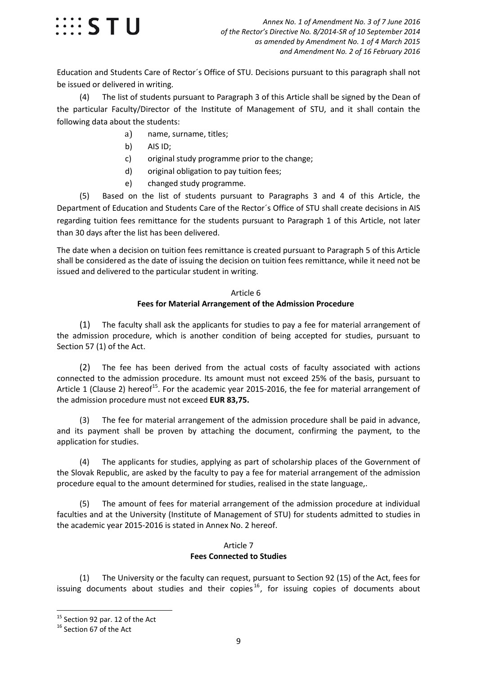

Education and Students Care of Rector´s Office of STU. Decisions pursuant to this paragraph shall not be issued or delivered in writing.

(4) The list of students pursuant to Paragraph 3 of this Article shall be signed by the Dean of the particular Faculty/Director of the Institute of Management of STU, and it shall contain the following data about the students:

- a) name, surname, titles;
- b) AIS ID;
- c) original study programme prior to the change;
- d) original obligation to pay tuition fees;
- e) changed study programme.

(5) Based on the list of students pursuant to Paragraphs 3 and 4 of this Article, the Department of Education and Students Care of the Rector´s Office of STU shall create decisions in AIS regarding tuition fees remittance for the students pursuant to Paragraph 1 of this Article, not later than 30 days after the list has been delivered.

The date when a decision on tuition fees remittance is created pursuant to Paragraph 5 of this Article shall be considered as the date of issuing the decision on tuition fees remittance, while it need not be issued and delivered to the particular student in writing.

### Article 6

#### **Fees for Material Arrangement of the Admission Procedure**

(1) The faculty shall ask the applicants for studies to pay a fee for material arrangement of the admission procedure, which is another condition of being accepted for studies, pursuant to Section 57 (1) of the Act.

(2) The fee has been derived from the actual costs of faculty associated with actions connected to the admission procedure. Its amount must not exceed 25% of the basis, pursuant to Article 1 (Clause 2) hereof<sup>15</sup>. For the academic year 2015-2016, the fee for material arrangement of the admission procedure must not exceed **EUR 83,75.**

(3) The fee for material arrangement of the admission procedure shall be paid in advance, and its payment shall be proven by attaching the document, confirming the payment, to the application for studies.

(4) The applicants for studies, applying as part of scholarship places of the Government of the Slovak Republic, are asked by the faculty to pay a fee for material arrangement of the admission procedure equal to the amount determined for studies, realised in the state language,.

(5) The amount of fees for material arrangement of the admission procedure at individual faculties and at the University (Institute of Management of STU) for students admitted to studies in the academic year 2015-2016 is stated in Annex No. 2 hereof.

#### Article 7 **Fees Connected to Studies**

(1) The University or the faculty can request, pursuant to Section 92 (15) of the Act, fees for issuing documents about studies and their copies<sup>[16](#page-8-1)</sup>, for issuing copies of documents about

<span id="page-8-0"></span> $15$  Section 92 par. 12 of the Act<br> $16$  Section 67 of the Act

<span id="page-8-1"></span>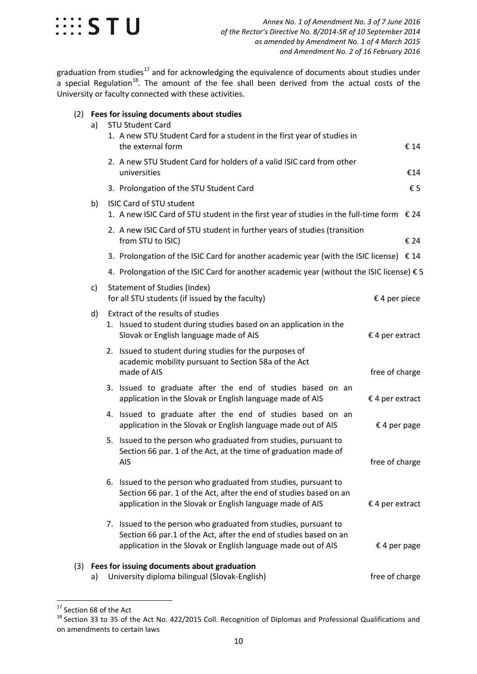

graduation from studies<sup>[17](#page-9-0)</sup> and for acknowledging the equivalence of documents about studies under  $\frac{3}{4}$  special Regulation<sup>[18](#page-9-1)</sup>. The amount of the fee shall been derived from the actual costs of the University or faculty connected with these activities.

#### (2) **Fees for issuing documents about studies**

|     | a) | <b>STU Student Card</b><br>1. A new STU Student Card for a student in the first year of studies in<br>the external form                                                                               |                   | € 14 |
|-----|----|-------------------------------------------------------------------------------------------------------------------------------------------------------------------------------------------------------|-------------------|------|
|     |    | 2. A new STU Student Card for holders of a valid ISIC card from other<br>universities                                                                                                                 |                   | €14  |
|     |    | 3. Prolongation of the STU Student Card                                                                                                                                                               |                   | € 5  |
|     | b) | <b>ISIC Card of STU student</b><br>1. A new ISIC Card of STU student in the first year of studies in the full-time form $\epsilon$ 24                                                                 |                   |      |
|     |    | 2. A new ISIC Card of STU student in further years of studies (transition<br>from STU to ISIC)                                                                                                        |                   | € 24 |
|     |    | 3. Prolongation of the ISIC Card for another academic year (with the ISIC license) € 14                                                                                                               |                   |      |
|     |    | 4. Prolongation of the ISIC Card for another academic year (without the ISIC license) $\xi$ 5                                                                                                         |                   |      |
|     | c) | <b>Statement of Studies (Index)</b><br>for all STU students (if issued by the faculty)                                                                                                                | € 4 per piece     |      |
|     | d) | Extract of the results of studies<br>1. Issued to student during studies based on an application in the<br>Slovak or English language made of AIS                                                     | $£$ 4 per extract |      |
|     |    | 2. Issued to student during studies for the purposes of<br>academic mobility pursuant to Section 58a of the Act<br>made of AIS                                                                        | free of charge    |      |
|     |    | 3. Issued to graduate after the end of studies based on an<br>application in the Slovak or English language made of AIS                                                                               | $£$ 4 per extract |      |
|     |    | 4. Issued to graduate after the end of studies based on an<br>application in the Slovak or English language made out of AIS                                                                           | € 4 per page      |      |
|     |    | 5. Issued to the person who graduated from studies, pursuant to<br>Section 66 par. 1 of the Act, at the time of graduation made of<br>AIS                                                             | free of charge    |      |
|     |    | 6. Issued to the person who graduated from studies, pursuant to<br>Section 66 par. 1 of the Act, after the end of studies based on an<br>application in the Slovak or English language made of AIS    | $€ 4$ per extract |      |
|     |    | 7. Issued to the person who graduated from studies, pursuant to<br>Section 66 par.1 of the Act, after the end of studies based on an<br>application in the Slovak or English language made out of AIS | € 4 per page      |      |
| (3) | a) | Fees for issuing documents about graduation<br>University diploma bilingual (Slovak-English)                                                                                                          | free of charge    |      |

<span id="page-9-1"></span>

<span id="page-9-0"></span><sup>&</sup>lt;sup>17</sup> Section 68 of the Act<br><sup>18</sup> Section 33 to 35 of the Act No. 422/2015 Coll. Recognition of Diplomas and Professional Qualifications and on amendments to certain laws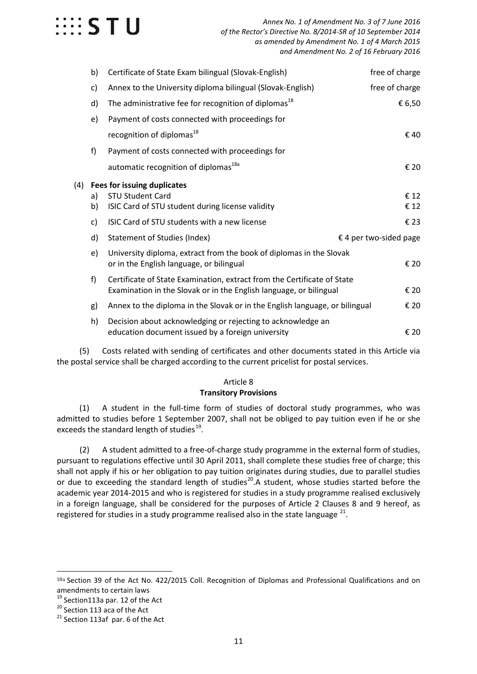

|     | b) | Certificate of State Exam bilingual (Slovak-English)                                                            | free of charge         |
|-----|----|-----------------------------------------------------------------------------------------------------------------|------------------------|
|     | c) | Annex to the University diploma bilingual (Slovak-English)                                                      | free of charge         |
|     | d) | The administrative fee for recognition of diplomas <sup>18</sup>                                                | € 6,50                 |
|     | e) | Payment of costs connected with proceedings for                                                                 |                        |
|     |    | recognition of diplomas <sup>18</sup>                                                                           | €40                    |
|     | f) | Payment of costs connected with proceedings for                                                                 |                        |
|     |    | automatic recognition of diplomas <sup>18a</sup>                                                                | € 20                   |
| (4) |    | Fees for issuing duplicates                                                                                     |                        |
|     | a) | <b>STU Student Card</b>                                                                                         | € 12                   |
|     | b) | ISIC Card of STU student during license validity                                                                | € 12                   |
|     | c) | ISIC Card of STU students with a new license                                                                    | € 23                   |
|     | d) | <b>Statement of Studies (Index)</b>                                                                             | € 4 per two-sided page |
|     | e) | University diploma, extract from the book of diplomas in the Slovak<br>or in the English language, or bilingual | € 20                   |
|     | f) | Certificate of State Examination, extract from the Certificate of State                                         |                        |
|     |    | Examination in the Slovak or in the English language, or bilingual                                              | € 20                   |
|     | g) | Annex to the diploma in the Slovak or in the English language, or bilingual                                     | € 20                   |
|     | h) | Decision about acknowledging or rejecting to acknowledge an                                                     |                        |
|     |    | education document issued by a foreign university                                                               | € 20                   |

(5) Costs related with sending of certificates and other documents stated in this Article via the postal service shall be charged according to the current pricelist for postal services.

### Article 8

#### **Transitory Provisions**

(1) A student in the full-time form of studies of doctoral study programmes, who was admitted to studies before 1 September 2007, shall not be obliged to pay tuition even if he or she exceeds the standard length of studies $^{19}$ .

(2) A student admitted to a free-of-charge study programme in the external form of studies, pursuant to regulations effective until 30 April 2011, shall complete these studies free of charge; this shall not apply if his or her obligation to pay tuition originates during studies, due to parallel studies or due to exceeding the standard length of studies<sup>20</sup>. A student, whose studies started before the academic year 2014-2015 and who is registered for studies in a study programme realised exclusively in a foreign language, shall be considered for the purposes of Article 2 Clauses 8 and 9 hereof, as registered for studies in a study programme realised also in the state language  $21$ .

<span id="page-10-0"></span><sup>18</sup>a Section 39 of the Act No. 422/2015 Coll. Recognition of Diplomas and Professional Qualifications and on amendments to certain laws<br> $19$  Section113a par. 12 of the Act

<span id="page-10-2"></span><span id="page-10-1"></span><sup>&</sup>lt;sup>20</sup> Section 113 aca of the Act  $^{21}$  Section 113af par. 6 of the Act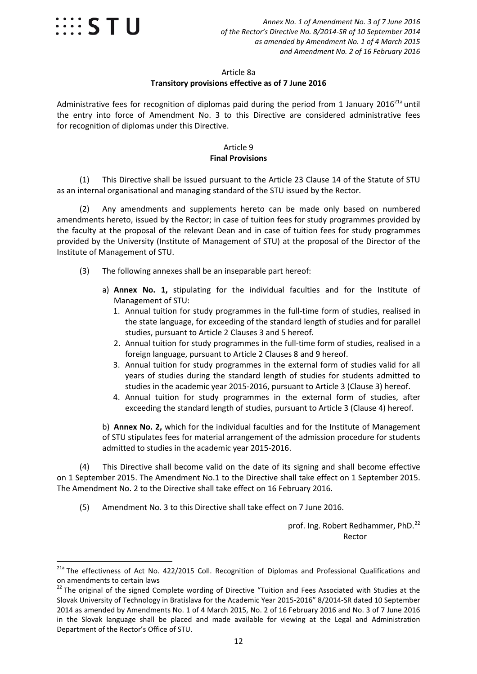

 *Annex No. 1 of Amendment No. 3 of 7 June 2016 of the Rector's Directive No. 8/2014-SR of 10 September 2014 as amended by Amendment No. 1 of 4 March 2015 and Amendment No. 2 of 16 February 2016*

#### Article 8a **Transitory provisions effective as of 7 June 2016**

Administrative fees for recognition of diplomas paid during the period from 1 January 2016 $^{21a}$  until the entry into force of Amendment No. 3 to this Directive are considered administrative fees for recognition of diplomas under this Directive.

#### Article 9 **Final Provisions**

(1) This Directive shall be issued pursuant to the Article 23 Clause 14 of the Statute of STU as an internal organisational and managing standard of the STU issued by the Rector.

(2) Any amendments and supplements hereto can be made only based on numbered amendments hereto, issued by the Rector; in case of tuition fees for study programmes provided by the faculty at the proposal of the relevant Dean and in case of tuition fees for study programmes provided by the University (Institute of Management of STU) at the proposal of the Director of the Institute of Management of STU.

- (3) The following annexes shall be an inseparable part hereof:
	- a) **Annex No. 1,** stipulating for the individual faculties and for the Institute of Management of STU:
		- 1. Annual tuition for study programmes in the full-time form of studies, realised in the state language, for exceeding of the standard length of studies and for parallel studies, pursuant to Article 2 Clauses 3 and 5 hereof.
		- 2. Annual tuition for study programmes in the full-time form of studies, realised in a foreign language, pursuant to Article 2 Clauses 8 and 9 hereof.
		- 3. Annual tuition for study programmes in the external form of studies valid for all years of studies during the standard length of studies for students admitted to studies in the academic year 2015-2016, pursuant to Article 3 (Clause 3) hereof.
		- 4. Annual tuition for study programmes in the external form of studies, after exceeding the standard length of studies, pursuant to Article 3 (Clause 4) hereof.

b) **Annex No. 2,** which for the individual faculties and for the Institute of Management of STU stipulates fees for material arrangement of the admission procedure for students admitted to studies in the academic year 2015-2016.

(4) This Directive shall become valid on the date of its signing and shall become effective on 1 September 2015. The Amendment No.1 to the Directive shall take effect on 1 September 2015. The Amendment No. 2 to the Directive shall take effect on 16 February 2016.

(5) Amendment No. 3 to this Directive shall take effect on 7 June 2016.

prof. Ing. Robert Redhammer, PhD.<sup>[22](#page-11-0)</sup> Rector

<span id="page-11-0"></span><sup>&</sup>lt;sup>21a</sup> The effectivness of Act No. 422/2015 Coll. Recognition of Diplomas and Professional Qualifications and on amendments to certain laws

<sup>&</sup>lt;sup>22</sup> The original of the signed Complete wording of Directive "Tuition and Fees Associated with Studies at the Slovak University of Technology in Bratislava for the Academic Year 2015-2016" 8/2014-SR dated 10 September 2014 as amended by Amendments No. 1 of 4 March 2015, No. 2 of 16 February 2016 and No. 3 of 7 June 2016 in the Slovak language shall be placed and made available for viewing at the Legal and Administration Department of the Rector's Office of STU.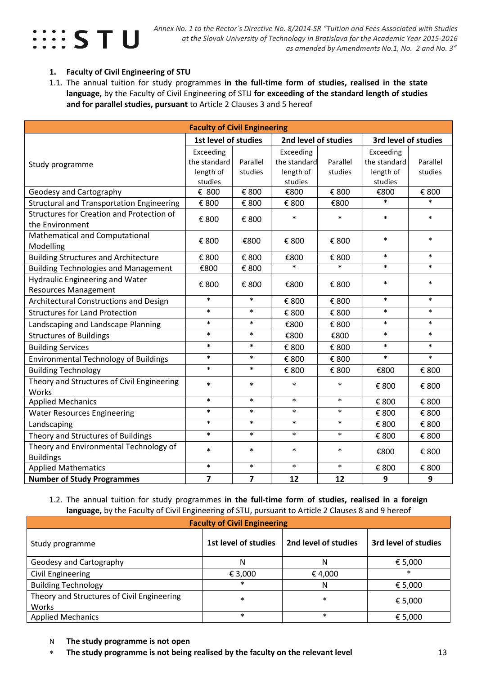

#### **1. Faculty of Civil Engineering of STU**

1.1. The annual tuition for study programmes **in the full-time form of studies, realised in the state language,** by the Faculty of Civil Engineering of STU **for exceeding of the standard length of studies and for parallel studies, pursuant** to Article 2 Clauses 3 and 5 hereof

| <b>Faculty of Civil Engineering</b>              |                      |                             |                      |          |                      |          |  |
|--------------------------------------------------|----------------------|-----------------------------|----------------------|----------|----------------------|----------|--|
|                                                  | 1st level of studies |                             | 2nd level of studies |          | 3rd level of studies |          |  |
|                                                  | Exceeding            |                             | Exceeding            |          | Exceeding            |          |  |
| Study programme                                  | the standard         | Parallel                    | the standard         | Parallel | the standard         | Parallel |  |
|                                                  | length of            | studies                     | length of            | studies  | length of            | studies  |  |
|                                                  | studies              |                             | studies              |          | studies              |          |  |
| Geodesy and Cartography                          | € 800                | € 800                       | €800                 | € 800    | €800                 | € 800    |  |
| <b>Structural and Transportation Engineering</b> | € 800                | € 800                       | € 800                | €800     | $\ast$               | $\ast$   |  |
| Structures for Creation and Protection of        | € 800                | € 800                       | $\ast$               | $\ast$   | $\ast$               | $\ast$   |  |
| the Environment                                  |                      |                             |                      |          |                      |          |  |
| Mathematical and Computational                   | € 800                | €800                        | € 800                | € 800    | $\ast$               | $\ast$   |  |
| Modelling                                        |                      |                             |                      |          |                      |          |  |
| <b>Building Structures and Architecture</b>      | € 800                | $\boldsymbol{\epsilon}$ 800 | €800                 | € 800    | $\ast$               | $\ast$   |  |
| <b>Building Technologies and Management</b>      | €800                 | € 800                       | $\ast$               | $\ast$   | $\ast$               | $\ast$   |  |
| <b>Hydraulic Engineering and Water</b>           | € 800                | € 800                       | €800                 | € 800    | $\ast$               | $\ast$   |  |
| <b>Resources Management</b>                      |                      |                             |                      |          |                      |          |  |
| Architectural Constructions and Design           | $\ast$               | $\ast$                      | € 800                | € 800    | $\ast$               | $\ast$   |  |
| <b>Structures for Land Protection</b>            | $\ast$               | $\ast$                      | € 800                | € 800    | $\ast$               | $\ast$   |  |
| Landscaping and Landscape Planning               | $\ast$               | $\ast$                      | €800                 | € 800    | $\ast$               | $\ast$   |  |
| <b>Structures of Buildings</b>                   | $\ast$               | $\ast$                      | €800                 | €800     | $\ast$               | $\ast$   |  |
| <b>Building Services</b>                         | $\ast$               | $\ast$                      | € 800                | € 800    | $\ast$               | $\ast$   |  |
| <b>Environmental Technology of Buildings</b>     | $\ast$               | $\ast$                      | € 800                | € 800    | $\ast$               | $\ast$   |  |
| <b>Building Technology</b>                       | $\ast$               | $\ast$                      | € 800                | € 800    | €800                 | € 800    |  |
| Theory and Structures of Civil Engineering       | $\ast$               | $\ast$                      | $\ast$               | $\ast$   | € 800                | € 800    |  |
| Works                                            |                      |                             |                      |          |                      |          |  |
| <b>Applied Mechanics</b>                         | $\ast$               | $\ast$                      | $\ast$               | $\ast$   | € 800                | € 800    |  |
| <b>Water Resources Engineering</b>               | $\ast$               | $\ast$                      | $\ast$               | $\ast$   | € 800                | € 800    |  |
| Landscaping                                      | $\ast$               | $\ast$                      | $\ast$               | $\ast$   | € 800                | € 800    |  |
| Theory and Structures of Buildings               | $\ast$               | $\ast$                      | $\ast$               | $\ast$   | € 800                | € 800    |  |
| Theory and Environmental Technology of           | $\ast$               | $\ast$                      | $\ast$               | $\ast$   | €800                 | € 800    |  |
| <b>Buildings</b>                                 |                      |                             |                      |          |                      |          |  |
| <b>Applied Mathematics</b>                       | $\ast$               | $\ast$                      | $\ast$               | $\ast$   | € 800                | € 800    |  |
| <b>Number of Study Programmes</b>                | $\overline{7}$       | $\overline{\mathbf{z}}$     | 12                   | 12       | 9                    | 9        |  |

#### 1.2. The annual tuition for study programmes **in the full-time form of studies, realised in a foreign language,** by the Faculty of Civil Engineering of STU, pursuant to Article 2 Clauses 8 and 9 hereof

| <b>Faculty of Civil Engineering</b>                 |                      |                      |                      |  |  |  |  |  |  |
|-----------------------------------------------------|----------------------|----------------------|----------------------|--|--|--|--|--|--|
| Study programme                                     | 1st level of studies | 2nd level of studies | 3rd level of studies |  |  |  |  |  |  |
| Geodesy and Cartography                             | N                    | N                    | € 5,000              |  |  |  |  |  |  |
| Civil Engineering                                   | € 3,000              | € 4,000              | $\ast$               |  |  |  |  |  |  |
| <b>Building Technology</b>                          | $\ast$               | N                    | € 5,000              |  |  |  |  |  |  |
| Theory and Structures of Civil Engineering<br>Works | $\ast$               | $\ast$               | € 5,000              |  |  |  |  |  |  |
| <b>Applied Mechanics</b>                            | $\ast$               | $\ast$               | € 5,000              |  |  |  |  |  |  |

- N **The study programme is not open**
- ∗ **The study programme is not being realised by the faculty on the relevant level** 13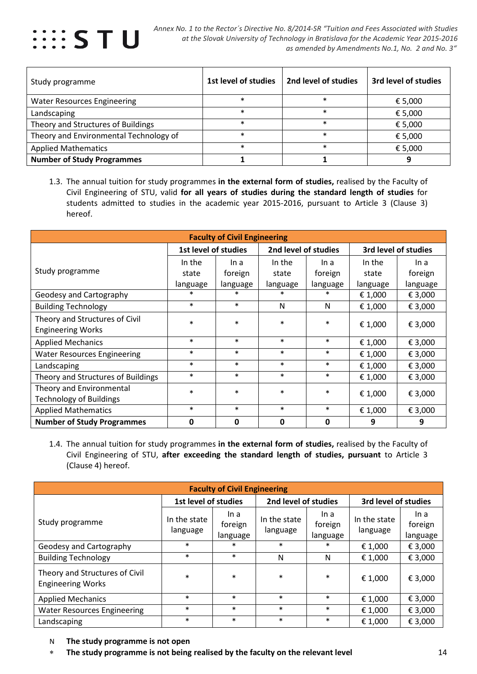

| Study programme                        | 1st level of studies | 2nd level of studies | 3rd level of studies |
|----------------------------------------|----------------------|----------------------|----------------------|
| <b>Water Resources Engineering</b>     | *                    | $\ast$               | € 5,000              |
| Landscaping                            | $\ast$               | $\ast$               | € 5,000              |
| Theory and Structures of Buildings     | $\ast$               | $\ast$               | € 5,000              |
| Theory and Environmental Technology of | $\ast$               | $\ast$               | € 5,000              |
| <b>Applied Mathematics</b>             | $\ast$               | $\ast$               | € 5,000              |
| <b>Number of Study Programmes</b>      |                      |                      |                      |

1.3. The annual tuition for study programmes **in the external form of studies,** realised by the Faculty of Civil Engineering of STU, valid **for all years of studies during the standard length of studies** for students admitted to studies in the academic year 2015-2016, pursuant to Article 3 (Clause 3) hereof.

| <b>Faculty of Civil Engineering</b> |          |                                              |          |             |                      |          |  |  |
|-------------------------------------|----------|----------------------------------------------|----------|-------------|----------------------|----------|--|--|
|                                     |          | 1st level of studies<br>2nd level of studies |          |             | 3rd level of studies |          |  |  |
|                                     | In the   | In a                                         | In the   | In a        | In the               | In a     |  |  |
| Study programme                     | state    | foreign                                      | state    | foreign     | state                | foreign  |  |  |
|                                     | language | language                                     | language | language    | language             | language |  |  |
| Geodesy and Cartography             | $\ast$   | $\ast$                                       | $\ast$   | $\ast$      | € 1,000              | € 3,000  |  |  |
| <b>Building Technology</b>          | $\ast$   | $\ast$                                       | N        | N           | € 1,000              | € 3,000  |  |  |
| Theory and Structures of Civil      | $\ast$   | $\ast$                                       | $\ast$   | $\ast$      | € 1,000              | € 3,000  |  |  |
| <b>Engineering Works</b>            |          |                                              |          |             |                      |          |  |  |
| <b>Applied Mechanics</b>            | $\ast$   | $\ast$                                       | $\ast$   | $\ast$      | € 1,000              | € 3,000  |  |  |
| <b>Water Resources Engineering</b>  | $\ast$   | $\ast$                                       | $\ast$   | $\ast$      | € 1,000              | € 3,000  |  |  |
| Landscaping                         | $\ast$   | $\ast$                                       | $\ast$   | $\ast$      | € 1,000              | € 3,000  |  |  |
| Theory and Structures of Buildings  | $\ast$   | $\ast$                                       | $\ast$   | $\ast$      | € 1,000              | € 3,000  |  |  |
| Theory and Environmental            | $\ast$   | $\ast$                                       | $\ast$   | $\ast$      |                      | € 3,000  |  |  |
| <b>Technology of Buildings</b>      |          |                                              |          |             | € 1,000              |          |  |  |
| <b>Applied Mathematics</b>          | $\ast$   | $\ast$                                       | $\ast$   | $\ast$      | € 1,000              | € 3,000  |  |  |
| <b>Number of Study Programmes</b>   | 0        | 0                                            | 0        | $\mathbf 0$ | 9                    | 9        |  |  |

1.4. The annual tuition for study programmes **in the external form of studies,** realised by the Faculty of Civil Engineering of STU, **after exceeding the standard length of studies, pursuant** to Article 3 (Clause 4) hereof.

| <b>Faculty of Civil Engineering</b>                        |                          |                             |                          |                             |                          |                             |  |  |  |
|------------------------------------------------------------|--------------------------|-----------------------------|--------------------------|-----------------------------|--------------------------|-----------------------------|--|--|--|
|                                                            | 1st level of studies     |                             | 2nd level of studies     |                             | 3rd level of studies     |                             |  |  |  |
| Study programme                                            | In the state<br>language | ln a<br>foreign<br>language | In the state<br>language | ln a<br>foreign<br>language | In the state<br>language | In a<br>foreign<br>language |  |  |  |
| Geodesy and Cartography                                    | $\ast$                   | $\ast$                      | $\ast$                   | $\ast$                      | € 1,000                  | € 3,000                     |  |  |  |
| <b>Building Technology</b>                                 | $\ast$                   | $\ast$                      | N                        | N                           | € 1,000                  | € 3,000                     |  |  |  |
| Theory and Structures of Civil<br><b>Engineering Works</b> | $\ast$                   | $\ast$                      | $\ast$                   | $\ast$                      | € 1,000                  | € 3,000                     |  |  |  |
| <b>Applied Mechanics</b>                                   | $\ast$                   | $\ast$                      | $\ast$                   | $\ast$                      | € 1,000                  | € 3,000                     |  |  |  |
| <b>Water Resources Engineering</b>                         | $\ast$                   | $\ast$                      | $\ast$                   | $\ast$                      | € 1,000                  | € 3,000                     |  |  |  |
| Landscaping                                                | $\ast$                   | $\ast$                      | $\ast$                   | $\ast$                      | € 1,000                  | € 3,000                     |  |  |  |

- N **The study programme is not open**
- ∗ **The study programme is not being realised by the faculty on the relevant level** 14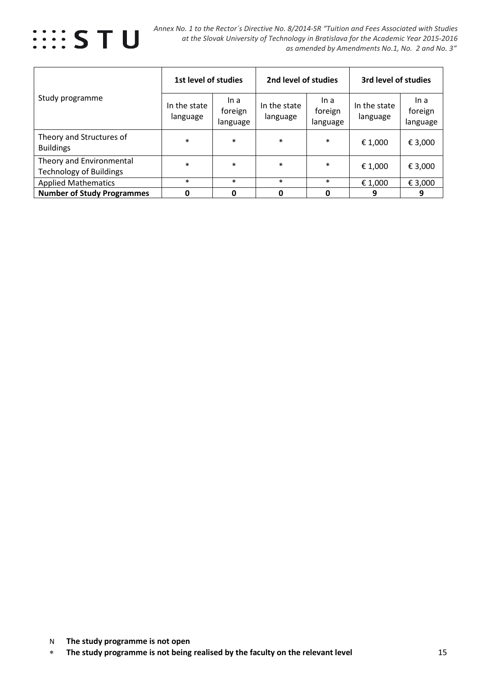

|                                                            | 1st level of studies     |                             | 2nd level of studies     |                             | 3rd level of studies                |                             |
|------------------------------------------------------------|--------------------------|-----------------------------|--------------------------|-----------------------------|-------------------------------------|-----------------------------|
| Study programme                                            | In the state<br>language | In a<br>foreign<br>language | In the state<br>language | ln a<br>foreign<br>language | In the state<br>language<br>€ 1,000 | ln a<br>foreign<br>language |
| Theory and Structures of<br><b>Buildings</b>               | $\ast$                   | $\ast$                      | $\ast$                   | $\ast$                      |                                     | € 3,000                     |
| Theory and Environmental<br><b>Technology of Buildings</b> | $\ast$                   | $\ast$                      | $\ast$                   | $\ast$                      | € 1,000                             | € 3,000                     |
| <b>Applied Mathematics</b>                                 | $\ast$                   | $\ast$                      | $\ast$                   | $\ast$                      | € 1,000                             | € 3,000                     |
| <b>Number of Study Programmes</b>                          | O                        | 0                           | O                        | O                           | 9                                   | 9                           |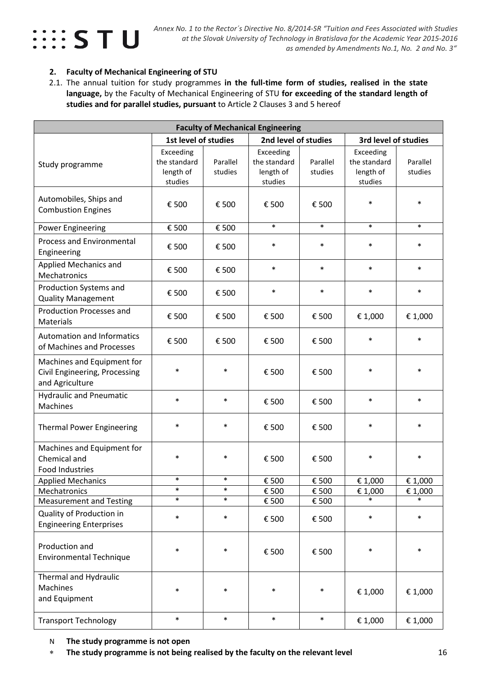

#### **2. Faculty of Mechanical Engineering of STU**

2.1. The annual tuition for study programmes **in the full-time form of studies, realised in the state language,** by the Faculty of Mechanical Engineering of STU **for exceeding of the standard length of studies and for parallel studies, pursuant** to Article 2 Clauses 3 and 5 hereof

| <b>Faculty of Mechanical Engineering</b>                                                     |                                                   |                     |                                                   |                     |                                                   |                     |  |  |
|----------------------------------------------------------------------------------------------|---------------------------------------------------|---------------------|---------------------------------------------------|---------------------|---------------------------------------------------|---------------------|--|--|
|                                                                                              | 1st level of studies                              |                     | 2nd level of studies                              |                     | 3rd level of studies                              |                     |  |  |
| Study programme                                                                              | Exceeding<br>the standard<br>length of<br>studies | Parallel<br>studies | Exceeding<br>the standard<br>length of<br>studies | Parallel<br>studies | Exceeding<br>the standard<br>length of<br>studies | Parallel<br>studies |  |  |
| Automobiles, Ships and<br><b>Combustion Engines</b>                                          | € 500                                             | € 500               | € 500                                             | € 500               | $\ast$                                            | $\ast$              |  |  |
| <b>Power Engineering</b>                                                                     | € 500                                             | € 500               | $\ast$                                            | $\ast$              | $\ast$                                            | $\ast$              |  |  |
| <b>Process and Environmental</b><br>Engineering                                              | € 500                                             | € 500               | $\ast$                                            | $\ast$              | $\ast$                                            | $\ast$              |  |  |
| Applied Mechanics and<br>Mechatronics                                                        | € 500                                             | € 500               | $\ast$                                            | $\ast$              | $\ast$                                            | $\ast$              |  |  |
| Production Systems and<br><b>Quality Management</b>                                          | € 500                                             | € 500               | $\ast$                                            | $\ast$              | $\ast$                                            | $\ast$              |  |  |
| <b>Production Processes and</b><br><b>Materials</b>                                          | € 500                                             | € 500               | € 500                                             | € 500               | € 1,000                                           | € 1,000             |  |  |
| <b>Automation and Informatics</b><br>of Machines and Processes                               | € 500                                             | € 500               | € 500                                             | € 500               | $\ast$                                            | $\ast$              |  |  |
| Machines and Equipment for<br>Civil Engineering, Processing<br>and Agriculture               | $\ast$                                            | $\ast$              | € 500                                             | € 500               | $\ast$                                            | $\ast$              |  |  |
| <b>Hydraulic and Pneumatic</b><br>Machines                                                   | $\ast$                                            | $\ast$              | € 500                                             | € 500               | $\ast$                                            | $\ast$              |  |  |
| <b>Thermal Power Engineering</b>                                                             | $\ast$                                            | $\ast$              | € 500                                             | € 500               | $\ast$                                            | $\ast$              |  |  |
| Machines and Equipment for<br>Chemical and<br>Food Industries                                | $\ast$                                            | $\ast$              | € 500                                             | € 500               | $\ast$                                            | $\ast$              |  |  |
| <b>Applied Mechanics</b>                                                                     |                                                   |                     | € 500                                             | € 500               | € 1,000                                           | € 1,000             |  |  |
| Mechatronics                                                                                 | $\ast$                                            | $\ast$              | € 500                                             | € 500               | € 1,000                                           | € 1,000             |  |  |
| <b>Measurement and Testing</b><br>Quality of Production in<br><b>Engineering Enterprises</b> | $\ast$<br>$\ast$                                  | $\ast$<br>$\ast$    | € 500<br>€ 500                                    | € 500<br>€ 500      | $\ast$<br>$\ast$                                  | $\ast$<br>$\ast$    |  |  |
| Production and<br><b>Environmental Technique</b>                                             | $\ast$                                            | $\ast$              | € 500                                             | € 500               | $\ast$                                            | $\ast$              |  |  |
| Thermal and Hydraulic<br>Machines<br>and Equipment                                           | $\ast$                                            | $\ast$              | $\ast$                                            | $\ast$              | € 1,000                                           | € 1,000             |  |  |
| <b>Transport Technology</b>                                                                  | $\ast$                                            | $\ast$              | $\ast$                                            | $\ast$              | € 1,000                                           | € 1,000             |  |  |

N **The study programme is not open** 

∗ **The study programme is not being realised by the faculty on the relevant level** 16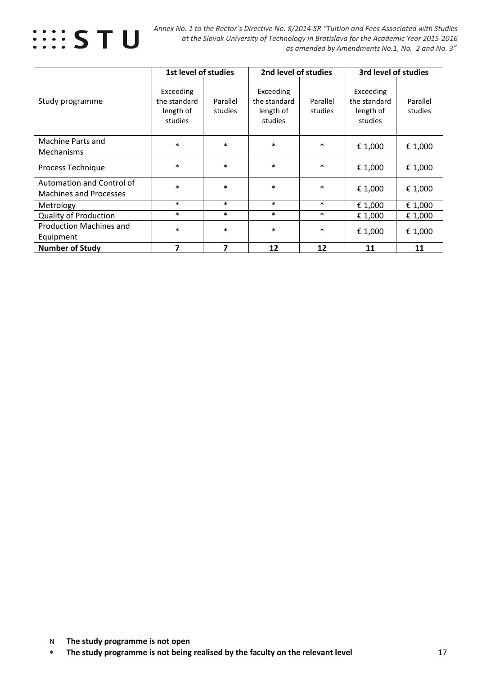

 *Annex No. 1 to the Rector´s Directive No. 8/2014-SR "Tuition and Fees Associated with Studies at the Slovak University of Technology in Bratislava for the Academic Year 2015-2016 as amended by Amendments No.1, No. 2 and No. 3"*

|                                                            | 1st level of studies                              |                     | 2nd level of studies                              |                     | 3rd level of studies                              |                     |  |
|------------------------------------------------------------|---------------------------------------------------|---------------------|---------------------------------------------------|---------------------|---------------------------------------------------|---------------------|--|
| Study programme                                            | Exceeding<br>the standard<br>length of<br>studies | Parallel<br>studies | Exceeding<br>the standard<br>length of<br>studies | Parallel<br>studies | Exceeding<br>the standard<br>length of<br>studies | Parallel<br>studies |  |
| Machine Parts and<br><b>Mechanisms</b>                     | $\ast$                                            | $\ast$              | $\ast$                                            | $\ast$              | € 1,000                                           | € 1,000             |  |
| Process Technique                                          | $\ast$                                            | $\ast$              | $\ast$                                            | $\ast$              | € 1,000                                           | € 1,000             |  |
| Automation and Control of<br><b>Machines and Processes</b> | $\ast$                                            | $\ast$              | $\ast$                                            | $\ast$              | € 1,000                                           | € 1,000             |  |
| Metrology                                                  | $\ast$                                            | $\ast$              | $\ast$                                            | $\ast$              | € 1,000                                           | € 1,000             |  |
| <b>Quality of Production</b>                               | $\ast$                                            | $\ast$              | $\ast$                                            | $\ast$              | € 1,000                                           | € 1,000             |  |
| <b>Production Machines and</b><br>Equipment                | $\ast$                                            | $\ast$              | $\ast$                                            | $\ast$              | € 1,000                                           | € 1,000             |  |
| <b>Number of Study</b>                                     | 7                                                 | 7                   | 12                                                | 12                  | 11                                                | 11                  |  |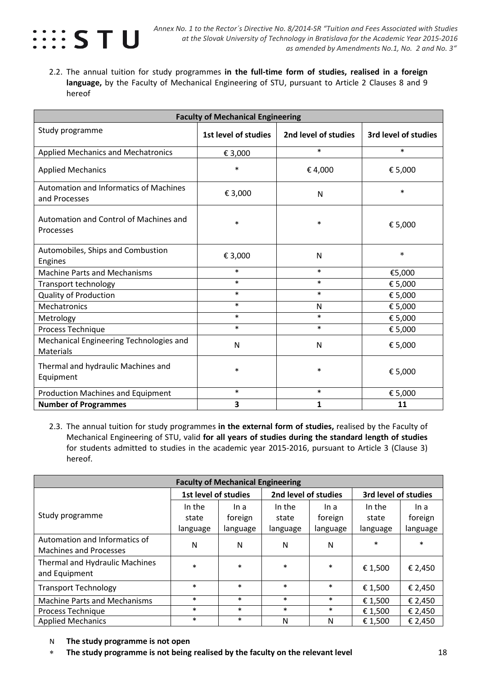

2.2. The annual tuition for study programmes **in the full-time form of studies, realised in a foreign language,** by the Faculty of Mechanical Engineering of STU, pursuant to Article 2 Clauses 8 and 9 hereof

| <b>Faculty of Mechanical Engineering</b>                       |                      |                      |                      |  |  |  |  |
|----------------------------------------------------------------|----------------------|----------------------|----------------------|--|--|--|--|
| Study programme                                                | 1st level of studies | 2nd level of studies | 3rd level of studies |  |  |  |  |
| <b>Applied Mechanics and Mechatronics</b>                      | € 3,000              | $\ast$               | $\ast$               |  |  |  |  |
| <b>Applied Mechanics</b>                                       | $\ast$               | €4,000               | € 5,000              |  |  |  |  |
| <b>Automation and Informatics of Machines</b><br>and Processes | € 3,000              | N                    | $\ast$               |  |  |  |  |
| Automation and Control of Machines and<br>Processes            | $\ast$               | $\ast$               | € 5,000              |  |  |  |  |
| Automobiles, Ships and Combustion<br>Engines                   | € 3,000              | N                    | $\ast$               |  |  |  |  |
| <b>Machine Parts and Mechanisms</b>                            | $\ast$               | $\ast$               | €5,000               |  |  |  |  |
| Transport technology                                           | $\ast$               | $\ast$               | € 5,000              |  |  |  |  |
| <b>Quality of Production</b>                                   | $\ast$               | $\ast$               | € 5,000              |  |  |  |  |
| Mechatronics                                                   | $\ast$               | N                    | € 5,000              |  |  |  |  |
| Metrology                                                      | $\ast$               | $\ast$               | € 5,000              |  |  |  |  |
| Process Technique                                              | $\ast$               | $\ast$               | € 5,000              |  |  |  |  |
| Mechanical Engineering Technologies and<br>Materials           | N                    | N                    | € 5,000              |  |  |  |  |
| Thermal and hydraulic Machines and<br>Equipment                | $\ast$               | $\ast$               | € 5,000              |  |  |  |  |
| <b>Production Machines and Equipment</b>                       | $\ast$               | $\ast$               | € 5,000              |  |  |  |  |
| <b>Number of Programmes</b>                                    | 3                    | 1                    | 11                   |  |  |  |  |

2.3. The annual tuition for study programmes **in the external form of studies,** realised by the Faculty of Mechanical Engineering of STU, valid **for all years of studies during the standard length of studies** for students admitted to studies in the academic year 2015-2016, pursuant to Article 3 (Clause 3) hereof.

| <b>Faculty of Mechanical Engineering</b>                       |                                                                      |          |          |          |          |          |  |  |
|----------------------------------------------------------------|----------------------------------------------------------------------|----------|----------|----------|----------|----------|--|--|
|                                                                | 1st level of studies<br>2nd level of studies<br>3rd level of studies |          |          |          |          |          |  |  |
|                                                                | In the                                                               | In a     | In the   | In a     | In the   | In a     |  |  |
| Study programme                                                | state                                                                | foreign  | state    | foreign  | state    | foreign  |  |  |
|                                                                | language                                                             | language | language | language | language | language |  |  |
| Automation and Informatics of<br><b>Machines and Processes</b> | N                                                                    | N        | N        | N        | $\ast$   | $\ast$   |  |  |
| Thermal and Hydraulic Machines<br>and Equipment                | $\ast$                                                               | $\ast$   | $\ast$   | $\ast$   | € 1,500  | € 2,450  |  |  |
| <b>Transport Technology</b>                                    | $\ast$                                                               | $\ast$   | $\ast$   | $\ast$   | € 1,500  | € 2,450  |  |  |
| <b>Machine Parts and Mechanisms</b>                            | $\ast$                                                               | $\ast$   | $\ast$   | $\ast$   | € 1,500  | € 2,450  |  |  |
| Process Technique                                              | $\ast$                                                               | $\ast$   | $\ast$   | $\ast$   | € 1,500  | € 2,450  |  |  |
| <b>Applied Mechanics</b>                                       | $\ast$                                                               | $\ast$   | N        | N        | € 1,500  | € 2,450  |  |  |

- N **The study programme is not open**
- ∗ **The study programme is not being realised by the faculty on the relevant level** 18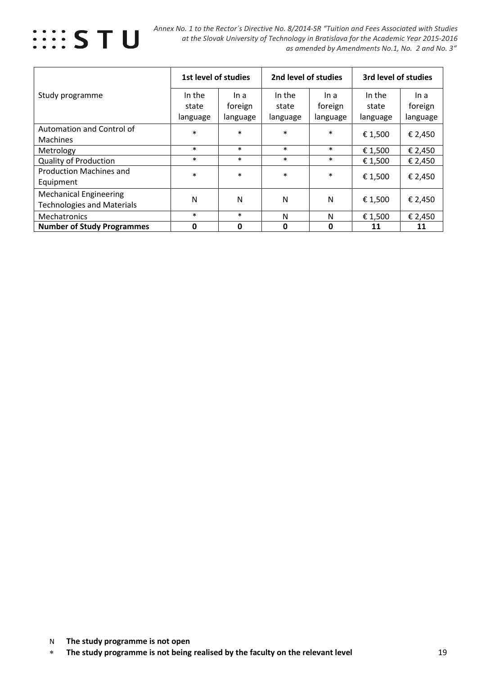

|                                   | 1st level of studies |          | 2nd level of studies |          | 3rd level of studies |          |
|-----------------------------------|----------------------|----------|----------------------|----------|----------------------|----------|
| Study programme                   | In the               | In a     | In the               | In a     | In the               | In a     |
|                                   | state                | foreign  | state                | foreign  | state                | foreign  |
|                                   | language             | language | language             | language | language             | language |
| Automation and Control of         | $\ast$               | $\ast$   | $\ast$               | $\ast$   |                      | € 2,450  |
| <b>Machines</b>                   |                      |          |                      |          | € 1,500              |          |
| Metrology                         | $\ast$               | $\ast$   | $\ast$               | $\ast$   | € 1,500              | € 2,450  |
| <b>Quality of Production</b>      | $\ast$               | $\ast$   | $\ast$               | $\ast$   | € 1,500              | € 2,450  |
| <b>Production Machines and</b>    | $\ast$               | $\ast$   | $\ast$               | $\ast$   |                      |          |
| Equipment                         |                      |          |                      |          | € 1,500              | € 2,450  |
| <b>Mechanical Engineering</b>     |                      |          |                      |          |                      |          |
| <b>Technologies and Materials</b> | N                    | N        | N                    | N        | € 1,500              | € 2,450  |
| Mechatronics                      | $\ast$               | $\ast$   | N                    | N        | € 1,500              | € 2,450  |
| <b>Number of Study Programmes</b> | 0                    | 0        | $\mathbf 0$          | 0        | 11                   | 11       |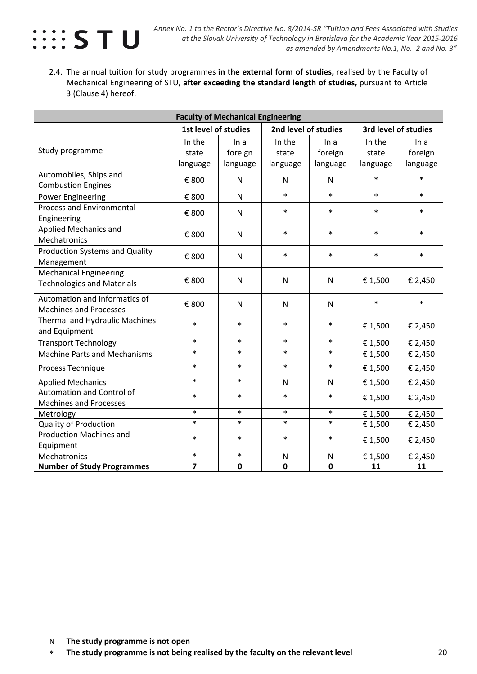

2.4. The annual tuition for study programmes **in the external form of studies,** realised by the Faculty of Mechanical Engineering of STU, **after exceeding the standard length of studies,** pursuant to Article 3 (Clause 4) hereof.

| <b>Faculty of Mechanical Engineering</b>                           |                             |                             |                             |                             |                             |                             |  |
|--------------------------------------------------------------------|-----------------------------|-----------------------------|-----------------------------|-----------------------------|-----------------------------|-----------------------------|--|
|                                                                    | 1st level of studies        |                             | 2nd level of studies        |                             | 3rd level of studies        |                             |  |
| Study programme                                                    | In the<br>state<br>language | ln a<br>foreign<br>language | In the<br>state<br>language | ln a<br>foreign<br>language | In the<br>state<br>language | In a<br>foreign<br>language |  |
| Automobiles, Ships and<br><b>Combustion Engines</b>                | € 800                       | $\mathsf{N}$                | N                           | N                           | $\ast$                      | $\ast$                      |  |
| <b>Power Engineering</b>                                           | € 800                       | N                           | $\ast$                      | $\ast$                      | $\ast$                      | $\ast$                      |  |
| <b>Process and Environmental</b><br>Engineering                    | € 800                       | $\mathsf{N}$                | $\ast$                      | $\ast$                      | $\ast$                      | $\ast$                      |  |
| Applied Mechanics and<br>Mechatronics                              | € 800                       | $\mathsf{N}$                | $\ast$                      | $\ast$                      | $\ast$                      | $\ast$                      |  |
| <b>Production Systems and Quality</b><br>Management                | € 800                       | $\mathsf{N}$                | $\ast$                      | $\ast$                      | $\ast$                      | $\ast$                      |  |
| <b>Mechanical Engineering</b><br><b>Technologies and Materials</b> | € 800                       | N                           | N                           | N                           | € 1,500                     | € 2,450                     |  |
| Automation and Informatics of<br><b>Machines and Processes</b>     | € 800                       | N                           | N                           | N                           | $\ast$                      | $\ast$                      |  |
| Thermal and Hydraulic Machines<br>and Equipment                    | $\ast$                      | $\ast$                      | $\ast$                      | $\ast$                      | € 1,500                     | € 2,450                     |  |
| <b>Transport Technology</b>                                        | $\ast$                      | $\ast$                      | $\ast$                      | $\ast$                      | € 1,500                     | € 2,450                     |  |
| <b>Machine Parts and Mechanisms</b>                                | $\ast$                      | $\ast$                      | $\ast$                      | $\ast$                      | € 1,500                     | € 2,450                     |  |
| Process Technique                                                  | $\ast$                      | $\ast$                      | $\ast$                      | $\ast$                      | € 1,500                     | € 2,450                     |  |
| <b>Applied Mechanics</b>                                           | $\ast$                      | $\ast$                      | N                           | N                           | € 1,500                     | € 2,450                     |  |
| Automation and Control of<br><b>Machines and Processes</b>         | $\ast$                      | $\ast$                      | $\ast$                      | $\ast$                      | € 1,500                     | € 2,450                     |  |
| Metrology                                                          | $\ast$                      | $\ast$                      | $\ast$                      | $\ast$                      | € 1,500                     | € 2,450                     |  |
| Quality of Production                                              | $\ast$                      | $\ast$                      | $\ast$                      | $\ast$                      | € 1,500                     | € 2,450                     |  |
| <b>Production Machines and</b><br>Equipment                        | $\ast$                      | $\ast$                      | $\ast$                      | $\ast$                      | € 1,500                     | € 2,450                     |  |
| Mechatronics                                                       | $\ast$                      | $\ast$                      | N                           | N                           | € 1,500                     | € 2,450                     |  |
| <b>Number of Study Programmes</b>                                  | $\overline{7}$              | $\mathbf 0$                 | $\mathbf 0$                 | $\mathbf 0$                 | 11                          | 11                          |  |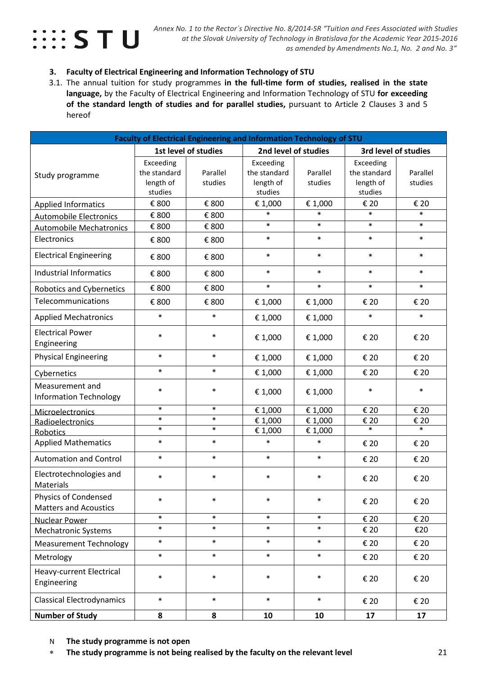# $\cdots$  STU

#### **3. Faculty of Electrical Engineering and Information Technology of STU**

3.1. The annual tuition for study programmes **in the full-time form of studies, realised in the state language,** by the Faculty of Electrical Engineering and Information Technology of STU **for exceeding of the standard length of studies and for parallel studies,** pursuant to Article 2 Clauses 3 and 5 hereof

| Faculty of Electrical Engineering and Information Technology of STU |                                                   |                      |                                                   |                     |                                                   |                     |  |
|---------------------------------------------------------------------|---------------------------------------------------|----------------------|---------------------------------------------------|---------------------|---------------------------------------------------|---------------------|--|
|                                                                     |                                                   | 1st level of studies | 2nd level of studies                              |                     | 3rd level of studies                              |                     |  |
| Study programme                                                     | Exceeding<br>the standard<br>length of<br>studies | Parallel<br>studies  | Exceeding<br>the standard<br>length of<br>studies | Parallel<br>studies | Exceeding<br>the standard<br>length of<br>studies | Parallel<br>studies |  |
| <b>Applied Informatics</b>                                          | € 800                                             | € 800                | € 1,000                                           | € 1,000             | € 20                                              | € 20                |  |
| <b>Automobile Electronics</b>                                       | € 800                                             | € 800                | $\ast$                                            | $\ast$              | $\ast$                                            | $\ast$              |  |
| <b>Automobile Mechatronics</b>                                      | € 800                                             | € 800                | $\ast$                                            | $\ast$              | $\ast$                                            | $\ast$              |  |
| Electronics                                                         | € 800                                             | € 800                | $\ast$                                            | $\ast$              | $\ast$                                            | $\ast$              |  |
| <b>Electrical Engineering</b>                                       | € 800                                             | € 800                | $\ast$                                            | $\ast$              | $\ast$                                            | $\ast$              |  |
| <b>Industrial Informatics</b>                                       | € 800                                             | € 800                | $\ast$                                            | $\ast$              | $\ast$                                            | $\ast$              |  |
| <b>Robotics and Cybernetics</b>                                     | € 800                                             | € 800                | $\ast$                                            | $\ast$              | $\ast$                                            | $\ast$              |  |
| Telecommunications                                                  | € 800                                             | € 800                | € 1,000                                           | € 1,000             | € 20                                              | € 20                |  |
| <b>Applied Mechatronics</b>                                         | $\ast$                                            | $\ast$               | € 1,000                                           | € 1,000             | $\ast$                                            | $\ast$              |  |
| <b>Electrical Power</b><br>Engineering                              | $\ast$                                            | $\ast$               | € 1,000                                           | € 1,000             | € 20                                              | € 20                |  |
| <b>Physical Engineering</b>                                         | $\ast$                                            | $\ast$               | € 1,000                                           | € 1,000             | € 20                                              | € 20                |  |
| Cybernetics                                                         | $\ast$                                            | $\ast$               | € 1,000                                           | € 1,000             | € 20                                              | € 20                |  |
| Measurement and<br><b>Information Technology</b>                    | $\ast$                                            | $\ast$               | € 1,000                                           | € 1,000             | $\ast$                                            | $\ast$              |  |
| Microelectronics                                                    | $\ast$                                            | $\ast$               | € 1,000                                           | € 1,000             | € 20                                              | € 20                |  |
| Radioelectronics                                                    | $\ast$                                            | $\ast$               | € 1,000                                           | € 1,000             | € 20<br>$\ast$                                    | € 20                |  |
| <b>Robotics</b>                                                     | $\ast$                                            | $\ast$               | € 1,000                                           | € 1,000             |                                                   | $\ast$              |  |
| <b>Applied Mathematics</b>                                          | $\ast$                                            | $\ast$               | $\ast$                                            | $\ast$              | € 20                                              | € 20                |  |
| <b>Automation and Control</b>                                       | $\ast$                                            | $\ast$               | $\ast$                                            | $\ast$              | € 20                                              | € 20                |  |
| Electrotechnologies and<br>Materials                                | $\ast$                                            | $\ast$               | $\ast$                                            | $\ast$              | € 20                                              | € 20                |  |
| Physics of Condensed<br><b>Matters and Acoustics</b>                | $\ast$                                            | $\ast$               | $\ast$                                            | $\ast$              | € 20                                              | € 20                |  |
| Nuclear Power                                                       | $\ast$                                            | $\ast$               | $\ast$                                            | $\ast$              | € 20                                              | € 20                |  |
| <b>Mechatronic Systems</b>                                          | $\ast$                                            | $\ast$               | $\ast$                                            | $\ast$              | € 20                                              | €20                 |  |
| <b>Measurement Technology</b>                                       | $\ast$                                            | $\ast$               | $\ast$                                            | $\ast$              | € 20                                              | € 20                |  |
| Metrology                                                           | $\ast$                                            | $\ast$               | $\ast$                                            | $\ast$              | € 20                                              | € 20                |  |
| Heavy-current Electrical<br>Engineering                             | $\ast$                                            | $\ast$               | $\ast$                                            | $\ast$              | € 20                                              | € 20                |  |
| <b>Classical Electrodynamics</b>                                    | $\ast$                                            | $\ast$               | $\ast$                                            | $\ast$              | € 20                                              | € 20                |  |
| <b>Number of Study</b>                                              | 8                                                 | 8                    | 10                                                | 10                  | 17                                                | 17                  |  |

N **The study programme is not open** 

∗ **The study programme is not being realised by the faculty on the relevant level** 21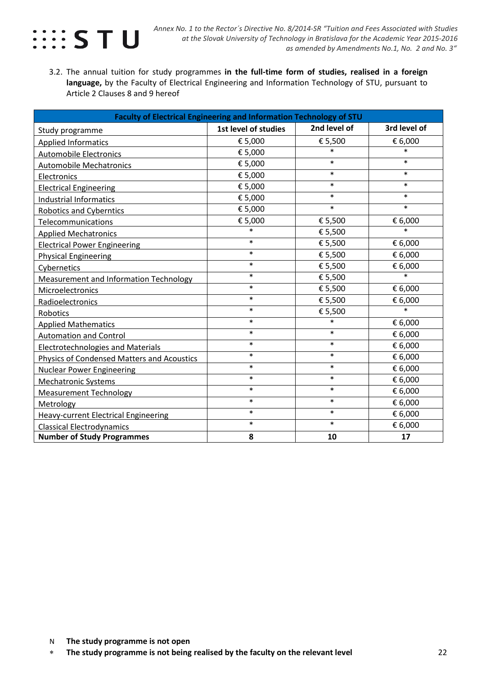

3.2. The annual tuition for study programmes **in the full-time form of studies, realised in a foreign language,** by the Faculty of Electrical Engineering and Information Technology of STU, pursuant to Article 2 Clauses 8 and 9 hereof

| Faculty of Electrical Engineering and Information Technology of STU |                      |              |              |  |  |  |  |  |
|---------------------------------------------------------------------|----------------------|--------------|--------------|--|--|--|--|--|
| Study programme                                                     | 1st level of studies | 2nd level of | 3rd level of |  |  |  |  |  |
| <b>Applied Informatics</b>                                          | € 5,000              | € 5,500      | € 6,000      |  |  |  |  |  |
| <b>Automobile Electronics</b>                                       | € 5,000              | $\ast$       | $\ast$       |  |  |  |  |  |
| <b>Automobile Mechatronics</b>                                      | € 5,000              | $\ast$       | $\ast$       |  |  |  |  |  |
| Electronics                                                         | € 5,000              | $\ast$       | $\ast$       |  |  |  |  |  |
| <b>Electrical Engineering</b>                                       | € 5,000              | $\ast$       | $\ast$       |  |  |  |  |  |
| <b>Industrial Informatics</b>                                       | € 5,000              | $\ast$       | $\ast$       |  |  |  |  |  |
| <b>Robotics and Cyberntics</b>                                      | € 5,000              | $\ast$       | $\ast$       |  |  |  |  |  |
| Telecommunications                                                  | € 5,000              | € 5,500      | € 6,000      |  |  |  |  |  |
| <b>Applied Mechatronics</b>                                         | $\ast$               | € 5,500      | $\ast$       |  |  |  |  |  |
| <b>Electrical Power Engineering</b>                                 | $\ast$               | € 5,500      | € 6,000      |  |  |  |  |  |
| <b>Physical Engineering</b>                                         | $\ast$               | € 5,500      | € 6,000      |  |  |  |  |  |
| Cybernetics                                                         | $\ast$               | € 5,500      | € 6,000      |  |  |  |  |  |
| Measurement and Information Technology                              | $\ast$               | € 5,500      | $\ast$       |  |  |  |  |  |
| Microelectronics                                                    | $\ast$               | € 5,500      | € 6,000      |  |  |  |  |  |
| Radioelectronics                                                    | $\ast$               | € 5,500      | € 6,000      |  |  |  |  |  |
| Robotics                                                            | $\ast$               | € 5,500      | $\ast$       |  |  |  |  |  |
| <b>Applied Mathematics</b>                                          | $\ast$               | $\ast$       | € 6,000      |  |  |  |  |  |
| <b>Automation and Control</b>                                       | $\ast$               | $\ast$       | € 6,000      |  |  |  |  |  |
| <b>Electrotechnologies and Materials</b>                            | $\ast$               | $\ast$       | € 6,000      |  |  |  |  |  |
| Physics of Condensed Matters and Acoustics                          | $\ast$               | $\ast$       | € 6,000      |  |  |  |  |  |
| Nuclear Power Engineering                                           | $\ast$               | $\ast$       | € 6,000      |  |  |  |  |  |
| <b>Mechatronic Systems</b>                                          | $\ast$               | $\ast$       | € 6,000      |  |  |  |  |  |
| <b>Measurement Technology</b>                                       | $\ast$               | $\ast$       | € 6,000      |  |  |  |  |  |
| Metrology                                                           | $\ast$               | $\ast$       | € 6,000      |  |  |  |  |  |
| <b>Heavy-current Electrical Engineering</b>                         | $\ast$               | $\ast$       | € 6,000      |  |  |  |  |  |
| <b>Classical Electrodynamics</b>                                    | $\ast$               | $\ast$       | € 6,000      |  |  |  |  |  |
| <b>Number of Study Programmes</b>                                   | 8                    | 10           | 17           |  |  |  |  |  |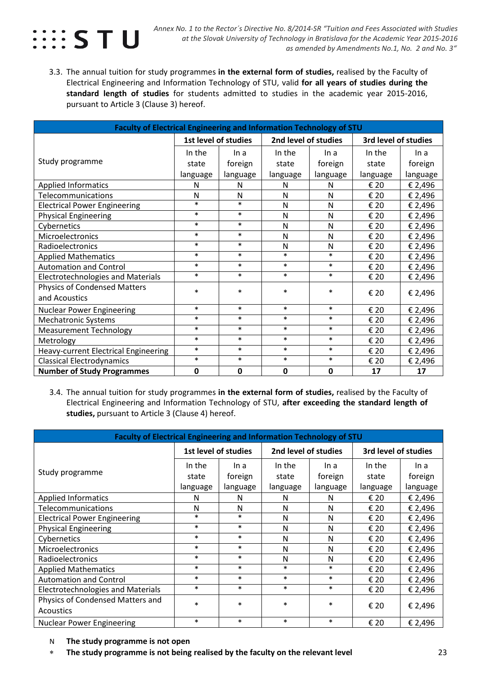

3.3. The annual tuition for study programmes **in the external form of studies,** realised by the Faculty of Electrical Engineering and Information Technology of STU, valid **for all years of studies during the standard length of studies** for students admitted to studies in the academic year 2015-2016, pursuant to Article 3 (Clause 3) hereof.

| Faculty of Electrical Engineering and Information Technology of STU |          |                      |                      |              |          |          |  |  |
|---------------------------------------------------------------------|----------|----------------------|----------------------|--------------|----------|----------|--|--|
|                                                                     |          | 1st level of studies | 3rd level of studies |              |          |          |  |  |
|                                                                     | In the   | In a                 | In the               | In a         | In the   | In a     |  |  |
| Study programme                                                     | state    | foreign              | state                | foreign      | state    | foreign  |  |  |
|                                                                     | language | language             | language             | language     | language | language |  |  |
| <b>Applied Informatics</b>                                          | N        | N                    | N                    | N            | € 20     | € 2,496  |  |  |
| Telecommunications                                                  | N        | N                    | N                    | N            | € 20     | € 2,496  |  |  |
| <b>Electrical Power Engineering</b>                                 | $\ast$   | $\ast$               | N                    | N            | € 20     | € 2,496  |  |  |
| <b>Physical Engineering</b>                                         | $\ast$   | $\ast$               | N                    | $\mathsf{N}$ | € 20     | € 2,496  |  |  |
| Cybernetics                                                         | $\ast$   | $\ast$               | N                    | $\mathsf{N}$ | € 20     | € 2,496  |  |  |
| Microelectronics                                                    | $\ast$   | $\ast$               | N                    | $\mathsf{N}$ | € 20     | € 2,496  |  |  |
| Radioelectronics                                                    | $\ast$   | $\ast$               | N                    | N            | € 20     | € 2,496  |  |  |
| <b>Applied Mathematics</b>                                          | $\ast$   | $\ast$               | $\ast$               | $\ast$       | € 20     | € 2,496  |  |  |
| <b>Automation and Control</b>                                       | $\ast$   | $\ast$               | $\ast$               | $\ast$       | € 20     | € 2,496  |  |  |
| <b>Electrotechnologies and Materials</b>                            | $\ast$   | $\ast$               | $\ast$               | $\ast$       | € 20     | € 2,496  |  |  |
| <b>Physics of Condensed Matters</b>                                 | $\ast$   | $\ast$               | $\ast$               | $\ast$       | € 20     | € 2,496  |  |  |
| and Acoustics                                                       |          |                      |                      |              |          |          |  |  |
| <b>Nuclear Power Engineering</b>                                    | $\ast$   | $\ast$               | $\ast$               | $\ast$       | € 20     | € 2,496  |  |  |
| Mechatronic Systems                                                 | $\ast$   | $\ast$               | $\ast$               | $\ast$       | € 20     | € 2,496  |  |  |
| <b>Measurement Technology</b>                                       | $\ast$   | $\ast$               | $\ast$               | $\ast$       | € 20     | € 2,496  |  |  |
| Metrology                                                           | $\ast$   | $\ast$               | $\ast$               | $\ast$       | € 20     | € 2,496  |  |  |
| Heavy-current Electrical Engineering                                | $\ast$   | $\ast$               | $\ast$               | $\ast$       | € 20     | € 2,496  |  |  |
| <b>Classical Electrodynamics</b>                                    | $\ast$   | $\ast$               | $\ast$               | $\ast$       | € 20     | € 2,496  |  |  |
| <b>Number of Study Programmes</b>                                   | 0        | $\mathbf 0$          | $\mathbf 0$          | $\mathbf 0$  | 17       | 17       |  |  |

3.4. The annual tuition for study programmes **in the external form of studies,** realised by the Faculty of Electrical Engineering and Information Technology of STU, **after exceeding the standard length of studies,** pursuant to Article 3 (Clause 4) hereof.

| Faculty of Electrical Engineering and Information Technology of STU |                      |          |                      |          |                      |          |  |  |
|---------------------------------------------------------------------|----------------------|----------|----------------------|----------|----------------------|----------|--|--|
|                                                                     | 1st level of studies |          | 2nd level of studies |          | 3rd level of studies |          |  |  |
|                                                                     | In the               | In a     | In the               | In a     | In the               | In a     |  |  |
| Study programme                                                     | state                | foreign  | state                | foreign  | state                | foreign  |  |  |
|                                                                     | language             | language | language             | language | language             | language |  |  |
| <b>Applied Informatics</b>                                          | N                    | N        | N                    | N        | € 20                 | € 2,496  |  |  |
| Telecommunications                                                  | N                    | N        | N                    | N        | € 20                 | € 2,496  |  |  |
| <b>Electrical Power Engineering</b>                                 | $\ast$               | $\ast$   | N                    | N        | € 20                 | € 2,496  |  |  |
| <b>Physical Engineering</b>                                         | $\ast$               | $\ast$   | N                    | N        | € 20                 | € 2,496  |  |  |
| Cybernetics                                                         | $\ast$               | $\ast$   | N                    | N        | € 20                 | € 2,496  |  |  |
| Microelectronics                                                    | $\ast$               | $\ast$   | N                    | N        | € 20                 | € 2,496  |  |  |
| Radioelectronics                                                    | $\ast$               | $\ast$   | N                    | N        | € 20                 | € 2,496  |  |  |
| <b>Applied Mathematics</b>                                          | $\ast$               | $\ast$   | $\ast$               | $\ast$   | € 20                 | € 2,496  |  |  |
| <b>Automation and Control</b>                                       | $\ast$               | $\ast$   | $\ast$               | $\ast$   | € 20                 | € 2,496  |  |  |
| <b>Electrotechnologies and Materials</b>                            | $\ast$               | $\ast$   | $\ast$               | $\ast$   | € 20                 | € 2,496  |  |  |
| Physics of Condensed Matters and                                    | $\ast$               | $\ast$   | $\ast$               | $\ast$   | € 20                 |          |  |  |
| <b>Acoustics</b>                                                    |                      |          |                      |          |                      | € 2,496  |  |  |
| <b>Nuclear Power Engineering</b>                                    | $\ast$               | $\ast$   | $\ast$               | $\ast$   | € 20                 | € 2,496  |  |  |

- N **The study programme is not open**
- ∗ **The study programme is not being realised by the faculty on the relevant level** 23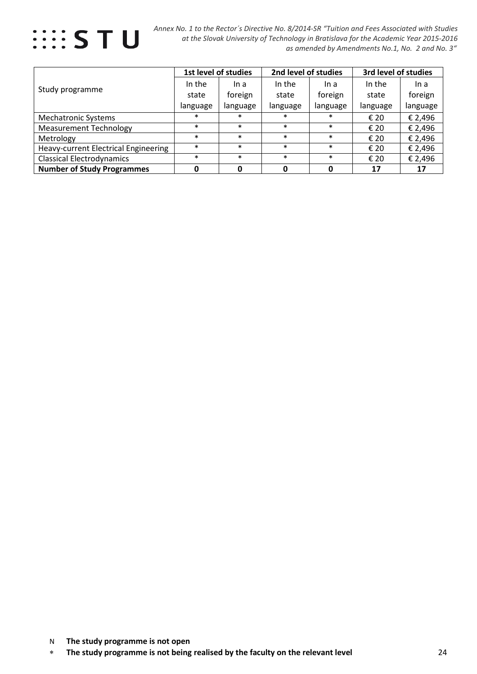

 *Annex No. 1 to the Rector´s Directive No. 8/2014-SR "Tuition and Fees Associated with Studies at the Slovak University of Technology in Bratislava for the Academic Year 2015-2016 as amended by Amendments No.1, No. 2 and No. 3"*

|                                             |          | 1st level of studies | 2nd level of studies |          | 3rd level of studies |          |
|---------------------------------------------|----------|----------------------|----------------------|----------|----------------------|----------|
|                                             | In the   | In a                 | In the               | In a     | In the               | In a     |
| Study programme                             | state    | foreign              | state                | foreign  | state                | foreign  |
|                                             | language | language             | language             | language | language             | language |
| <b>Mechatronic Systems</b>                  | $\ast$   | $\ast$               | $\ast$               | $\ast$   | € 20                 | € 2,496  |
| <b>Measurement Technology</b>               | $\ast$   | $\ast$               | $\ast$               | $\ast$   | € 20                 | € 2,496  |
| Metrology                                   | $\ast$   | $\ast$               | $\ast$               | $\ast$   | € 20                 | € 2,496  |
| <b>Heavy-current Electrical Engineering</b> | $\ast$   | $\ast$               | $\ast$               | $\ast$   | € 20                 | € 2,496  |
| <b>Classical Electrodynamics</b>            | $\ast$   | $\ast$               | $\ast$               | $\ast$   | € 20                 | € 2,496  |
| <b>Number of Study Programmes</b>           |          | O                    | O                    |          | 17                   | 17       |

<sup>∗</sup> **The study programme is not being realised by the faculty on the relevant level** 24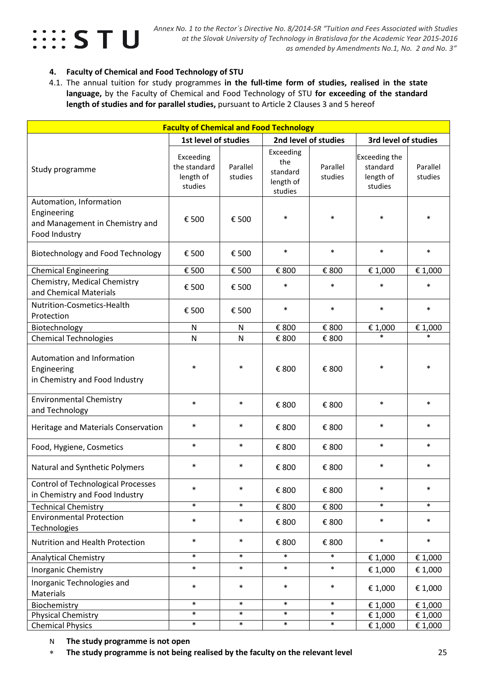

#### **4. Faculty of Chemical and Food Technology of STU**

4.1. The annual tuition for study programmes **in the full-time form of studies, realised in the state language,** by the Faculty of Chemical and Food Technology of STU **for exceeding of the standard length of studies and for parallel studies,** pursuant to Article 2 Clauses 3 and 5 hereof

| <b>Faculty of Chemical and Food Technology</b>                                             |                                                   |                     |                                                      |                            |                                                          |                     |
|--------------------------------------------------------------------------------------------|---------------------------------------------------|---------------------|------------------------------------------------------|----------------------------|----------------------------------------------------------|---------------------|
|                                                                                            | 1st level of studies                              |                     |                                                      | 2nd level of studies       | 3rd level of studies                                     |                     |
| Study programme                                                                            | Exceeding<br>the standard<br>length of<br>studies | Parallel<br>studies | Exceeding<br>the<br>standard<br>length of<br>studies | Parallel<br>studies        | <b>Exceeding the</b><br>standard<br>length of<br>studies | Parallel<br>studies |
| Automation, Information<br>Engineering<br>and Management in Chemistry and<br>Food Industry | € 500                                             | € 500               | $\ast$                                               | $\ast$                     | $\ast$                                                   | $\ast$              |
| <b>Biotechnology and Food Technology</b>                                                   | € 500                                             | € 500               | $\ast$                                               | $\ast$                     | $\ast$                                                   | $\ast$              |
| <b>Chemical Engineering</b>                                                                | € 500                                             | € 500               | € 800                                                | € 800                      | € 1,000                                                  | € 1,000             |
| Chemistry, Medical Chemistry<br>and Chemical Materials                                     | € 500                                             | € 500               | $\ast$                                               | $\ast$                     | $\ast$                                                   | $\ast$              |
| Nutrition-Cosmetics-Health<br>Protection                                                   | € 500                                             | € 500               | $\ast$                                               | $\ast$                     | $\ast$                                                   | $\ast$              |
| Biotechnology                                                                              | ${\sf N}$                                         | N                   | € 800                                                | € 800                      | € 1,000                                                  | € 1,000             |
| <b>Chemical Technologies</b>                                                               | N                                                 | N                   | € 800                                                | € 800                      | $\ast$                                                   | $\ast$              |
| Automation and Information<br>Engineering<br>in Chemistry and Food Industry                | $\ast$                                            | $\ast$              | € 800                                                | € 800                      | $\ast$                                                   | *                   |
| <b>Environmental Chemistry</b><br>and Technology                                           | $\ast$                                            | $\ast$              | € 800                                                | € 800                      | $\ast$                                                   | $\ast$              |
| Heritage and Materials Conservation                                                        | $\ast$                                            | $\ast$              | € 800                                                | € 800                      | $\ast$                                                   | $\ast$              |
| Food, Hygiene, Cosmetics                                                                   | $\ast$                                            | $\ast$              | € 800                                                | € 800                      | $\ast$                                                   | $\ast$              |
| Natural and Synthetic Polymers                                                             | $\ast$                                            | $\ast$              | € 800                                                | € 800                      | $\ast$                                                   | $\ast$              |
| <b>Control of Technological Processes</b><br>in Chemistry and Food Industry                | $\ast$                                            | $\ast$              | € 800                                                | € 800                      | $\ast$                                                   | $\ast$              |
| <b>Technical Chemistry</b>                                                                 | $\ast$                                            | $\ast$              | € 800                                                | $\mathop{\varepsilon}$ 800 | $\ast$                                                   | $\ast$              |
| <b>Environmental Protection</b><br>Technologies                                            | $\ast$                                            | $\ast$              | € 800                                                | € 800                      | $\ast$                                                   | $\ast$              |
| Nutrition and Health Protection                                                            | $\ast$                                            | $\ast$              | € 800                                                | € 800                      | $\ast$                                                   | $\ast$              |
| <b>Analytical Chemistry</b>                                                                | $\ast$                                            | $\ast$              | $\ast$                                               | $\ast$                     | € 1,000                                                  | € 1,000             |
| <b>Inorganic Chemistry</b>                                                                 | $\ast$                                            | $\ast$              | $\ast$                                               | $\ast$                     | € 1,000                                                  | € 1,000             |
| Inorganic Technologies and<br>Materials                                                    | $\ast$                                            | $\ast$              | $\ast$                                               | $\ast$                     | € 1,000                                                  | € 1,000             |
| Biochemistry                                                                               | $\ast$                                            | $\ast$              | $\ast$                                               | $\ast$                     | € 1,000                                                  | € 1,000             |
| <b>Physical Chemistry</b>                                                                  | $\ast$<br>$\ast$                                  | $\ast$              | $\ast$<br>$\ast$                                     | $\ast$                     | € 1,000                                                  | € 1,000             |
| <b>Chemical Physics</b>                                                                    |                                                   | $\ast$              |                                                      | $\ast$                     | € 1,000                                                  | € 1,000             |

N **The study programme is not open** 

∗ **The study programme is not being realised by the faculty on the relevant level** 25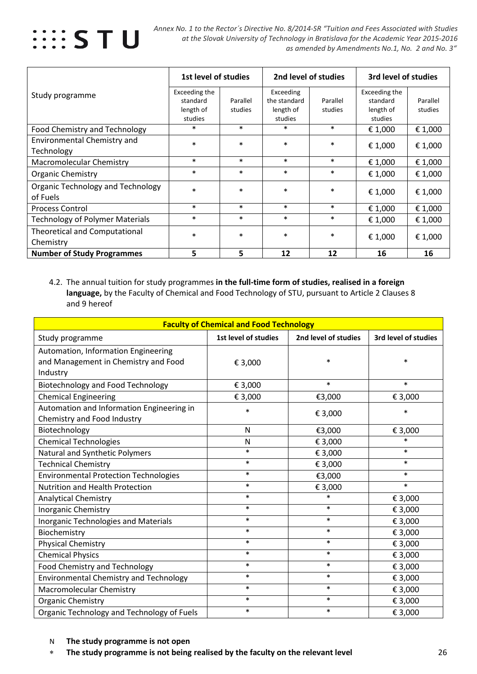

|                                                  | 1st level of studies                              |                     | 2nd level of studies                              |                     | 3rd level of studies                              |                     |
|--------------------------------------------------|---------------------------------------------------|---------------------|---------------------------------------------------|---------------------|---------------------------------------------------|---------------------|
| Study programme                                  | Exceeding the<br>standard<br>length of<br>studies | Parallel<br>studies | Exceeding<br>the standard<br>length of<br>studies | Parallel<br>studies | Exceeding the<br>standard<br>length of<br>studies | Parallel<br>studies |
| Food Chemistry and Technology                    | $\ast$                                            | $\ast$              | $\ast$                                            | $\ast$              | € 1,000                                           | € 1,000             |
| <b>Environmental Chemistry and</b><br>Technology | $\ast$                                            | $\ast$              | $\ast$                                            | $\ast$              | € 1,000                                           | € 1,000             |
| <b>Macromolecular Chemistry</b>                  | $\ast$                                            | $\ast$              | $\ast$                                            | $\ast$              | € 1,000                                           | € 1,000             |
| <b>Organic Chemistry</b>                         | $\ast$                                            | $\ast$              | $\ast$                                            | $\ast$              | € 1,000                                           | € 1,000             |
| Organic Technology and Technology<br>of Fuels    | $\ast$                                            | $\ast$              | $\ast$                                            | $\ast$              | € 1,000                                           | € 1,000             |
| <b>Process Control</b>                           | $\ast$                                            | $\ast$              | $\ast$                                            | $\ast$              | € 1,000                                           | € 1,000             |
| <b>Technology of Polymer Materials</b>           | $\ast$                                            | $\ast$              | $\ast$                                            | $\ast$              | € 1,000                                           | € 1,000             |
| Theoretical and Computational<br>Chemistry       | $\ast$                                            | $\ast$              | $\ast$                                            | $\ast$              | € 1,000                                           | € 1,000             |
| <b>Number of Study Programmes</b>                | 5                                                 | 5                   | 12                                                | 12                  | 16                                                | 16                  |

4.2. The annual tuition for study programmes **in the full-time form of studies, realised in a foreign language,** by the Faculty of Chemical and Food Technology of STU, pursuant to Article 2 Clauses 8 and 9 hereof

| <b>Faculty of Chemical and Food Technology</b> |                      |                      |                      |  |  |  |  |
|------------------------------------------------|----------------------|----------------------|----------------------|--|--|--|--|
| Study programme                                | 1st level of studies | 2nd level of studies | 3rd level of studies |  |  |  |  |
| Automation, Information Engineering            |                      |                      |                      |  |  |  |  |
| and Management in Chemistry and Food           | € 3,000              | $\ast$               | $\ast$               |  |  |  |  |
| Industry                                       |                      |                      |                      |  |  |  |  |
| <b>Biotechnology and Food Technology</b>       | € 3,000              | $\ast$               | $\ast$               |  |  |  |  |
| <b>Chemical Engineering</b>                    | € 3,000              | €3,000               | € 3,000              |  |  |  |  |
| Automation and Information Engineering in      | $\ast$               | € 3,000              | $\ast$               |  |  |  |  |
| Chemistry and Food Industry                    |                      |                      |                      |  |  |  |  |
| Biotechnology                                  | N                    | €3,000               | € 3,000              |  |  |  |  |
| <b>Chemical Technologies</b>                   | $\mathsf{N}$         | € 3,000              | $\ast$               |  |  |  |  |
| Natural and Synthetic Polymers                 | $\ast$               | € 3,000              | $\ast$               |  |  |  |  |
| <b>Technical Chemistry</b>                     | $\ast$               | € 3,000              | $\ast$               |  |  |  |  |
| <b>Environmental Protection Technologies</b>   | $\ast$               | €3,000               | $\ast$               |  |  |  |  |
| <b>Nutrition and Health Protection</b>         | $\ast$               | € 3,000              | $\ast$               |  |  |  |  |
| <b>Analytical Chemistry</b>                    | $\ast$               | $\ast$               | € 3,000              |  |  |  |  |
| Inorganic Chemistry                            | $\ast$               | $\ast$               | € 3,000              |  |  |  |  |
| Inorganic Technologies and Materials           | $\ast$               | $\ast$               | € 3,000              |  |  |  |  |
| Biochemistry                                   | $\ast$               | $\ast$               | € 3,000              |  |  |  |  |
| <b>Physical Chemistry</b>                      | $\ast$               | $\ast$               | € 3,000              |  |  |  |  |
| <b>Chemical Physics</b>                        | $\ast$               | $\ast$               | € 3,000              |  |  |  |  |
| Food Chemistry and Technology                  | $\ast$               | $\ast$               | € 3,000              |  |  |  |  |
| <b>Environmental Chemistry and Technology</b>  | $\ast$               | $\ast$               | € 3,000              |  |  |  |  |
| Macromolecular Chemistry                       | $\ast$               | $\ast$               | € 3,000              |  |  |  |  |
| Organic Chemistry                              | $\ast$               | $\ast$               | € 3,000              |  |  |  |  |
| Organic Technology and Technology of Fuels     | $\ast$               | $\ast$               | € 3,000              |  |  |  |  |

- N **The study programme is not open**
- ∗ **The study programme is not being realised by the faculty on the relevant level** 26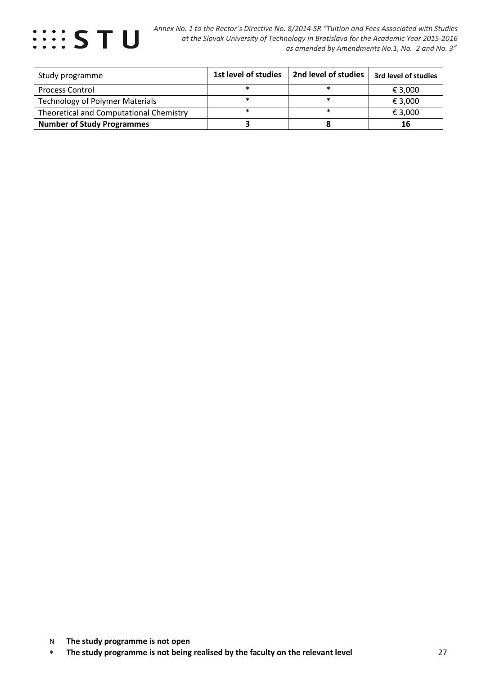

| Study programme                         | 1st level of studies | 2nd level of studies | 3rd level of studies |
|-----------------------------------------|----------------------|----------------------|----------------------|
| <b>Process Control</b>                  |                      |                      | € 3,000              |
| <b>Technology of Polymer Materials</b>  |                      |                      | € 3.000              |
| Theoretical and Computational Chemistry |                      |                      | € 3,000              |
| <b>Number of Study Programmes</b>       |                      |                      | 16                   |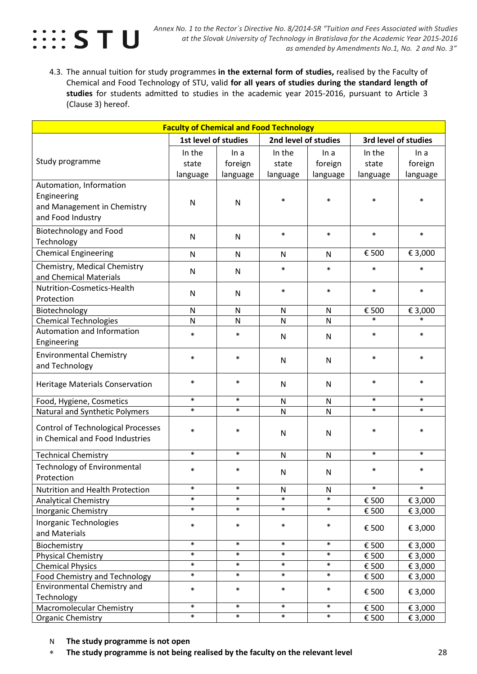

4.3. The annual tuition for study programmes **in the external form of studies,** realised by the Faculty of Chemical and Food Technology of STU, valid **for all years of studies during the standard length of studies** for students admitted to studies in the academic year 2015-2016, pursuant to Article 3 (Clause 3) hereof.

| <b>Faculty of Chemical and Food Technology</b>   |                                                                      |              |              |              |          |          |  |
|--------------------------------------------------|----------------------------------------------------------------------|--------------|--------------|--------------|----------|----------|--|
|                                                  | 2nd level of studies<br>1st level of studies<br>3rd level of studies |              |              |              |          |          |  |
|                                                  | In the                                                               | In a         | In the       | In a         | In the   | In a     |  |
| Study programme                                  | state                                                                | foreign      | state        | foreign      | state    | foreign  |  |
|                                                  | language                                                             | language     | language     | language     | language | language |  |
| Automation, Information                          |                                                                      |              |              |              |          |          |  |
| Engineering                                      | $\mathsf{N}$                                                         | N            | $\ast$       | $\ast$       | $\ast$   | $\ast$   |  |
| and Management in Chemistry                      |                                                                      |              |              |              |          |          |  |
| and Food Industry                                |                                                                      |              |              |              |          |          |  |
| <b>Biotechnology and Food</b>                    |                                                                      |              | $\ast$       | $\ast$       | $\ast$   | $\ast$   |  |
| Technology                                       | $\mathsf{N}$                                                         | N            |              |              |          |          |  |
| <b>Chemical Engineering</b>                      | $\mathsf{N}$                                                         | $\mathsf{N}$ | N            | $\mathsf{N}$ | € 500    | € 3,000  |  |
| Chemistry, Medical Chemistry                     |                                                                      |              | $\ast$       | $\ast$       | $\ast$   | $\ast$   |  |
| and Chemical Materials                           | N                                                                    | N            |              |              |          |          |  |
| Nutrition-Cosmetics-Health                       | N                                                                    | N            | $\ast$       | $\ast$       | $\ast$   | $\ast$   |  |
| Protection                                       |                                                                      |              |              |              |          |          |  |
| Biotechnology                                    | $\mathsf{N}$                                                         | $\mathsf{N}$ | $\mathsf{N}$ | $\mathsf{N}$ | € 500    | € 3,000  |  |
| <b>Chemical Technologies</b>                     | $\mathsf{N}$                                                         | N            | N            | N            | $\ast$   | $\ast$   |  |
| <b>Automation and Information</b>                | $\ast$                                                               | $\ast$       | N            | N            | $\ast$   | $\ast$   |  |
| Engineering                                      |                                                                      |              |              |              |          |          |  |
| <b>Environmental Chemistry</b>                   | $\ast$                                                               | $\ast$       | $\mathsf{N}$ | N            | $\ast$   | $\ast$   |  |
| and Technology                                   |                                                                      |              |              |              |          |          |  |
| <b>Heritage Materials Conservation</b>           | $\ast$                                                               | $\ast$       | N            | N            | $\ast$   | $\ast$   |  |
|                                                  |                                                                      |              |              |              |          |          |  |
| Food, Hygiene, Cosmetics                         | $\ast$                                                               | $\ast$       | $\mathsf{N}$ | N            | $\ast$   | $\ast$   |  |
| Natural and Synthetic Polymers                   | $\ast$                                                               | $\ast$       | N            | N            | $\ast$   | $\ast$   |  |
| <b>Control of Technological Processes</b>        | $\ast$                                                               | $\ast$       |              |              | $\ast$   | $\ast$   |  |
| in Chemical and Food Industries                  |                                                                      |              | $\mathsf{N}$ | N            |          |          |  |
|                                                  | $\ast$                                                               | $\ast$       | $\mathsf{N}$ | $\mathsf{N}$ | $\ast$   | $\ast$   |  |
| <b>Technical Chemistry</b>                       |                                                                      |              |              |              |          |          |  |
| <b>Technology of Environmental</b><br>Protection | $\ast$                                                               | $\ast$       | $\mathsf{N}$ | N            | $\ast$   | $\ast$   |  |
| Nutrition and Health Protection                  | $\ast$                                                               | $\ast$       | N            | N            | $\ast$   | $\ast$   |  |
| <b>Analytical Chemistry</b>                      | $\ast$                                                               | $\ast$       | $\ast$       | $\ast$       | € 500    | € 3,000  |  |
| <b>Inorganic Chemistry</b>                       | $\ast$                                                               | $\ast$       | $\ast$       | $\ast$       | € 500    | € 3,000  |  |
| Inorganic Technologies                           | $\ast$                                                               | $\ast$       | $\ast$       | $\ast$       |          |          |  |
| and Materials                                    |                                                                      |              |              |              | € 500    | € 3,000  |  |
| Biochemistry                                     | $\ast$                                                               | $\ast$       | $\ast$       | $\ast$       | € 500    | € 3,000  |  |
| <b>Physical Chemistry</b>                        | $\ast$                                                               | $\ast$       | $\ast$       | $\ast$       | € 500    | € 3,000  |  |
| <b>Chemical Physics</b>                          | $\ast$                                                               | $\ast$       | $\ast$       | $\ast$       | € 500    | € 3,000  |  |
| Food Chemistry and Technology                    | $\ast$                                                               | $\ast$       | $\ast$       | $\ast$       | € 500    | € 3,000  |  |
| Environmental Chemistry and                      | $\ast$                                                               | $\ast$       | $\ast$       | $\ast$       | € 500    | € 3,000  |  |
| Technology                                       |                                                                      |              |              |              |          |          |  |
| <b>Macromolecular Chemistry</b>                  | $\ast$                                                               | $\ast$       | $\ast$       | $\ast$       | € 500    | € 3,000  |  |
| <b>Organic Chemistry</b>                         | $\ast$                                                               | $\ast$       | $\ast$       | $\ast$       | € 500    | € 3,000  |  |

N **The study programme is not open** 

∗ **The study programme is not being realised by the faculty on the relevant level** 28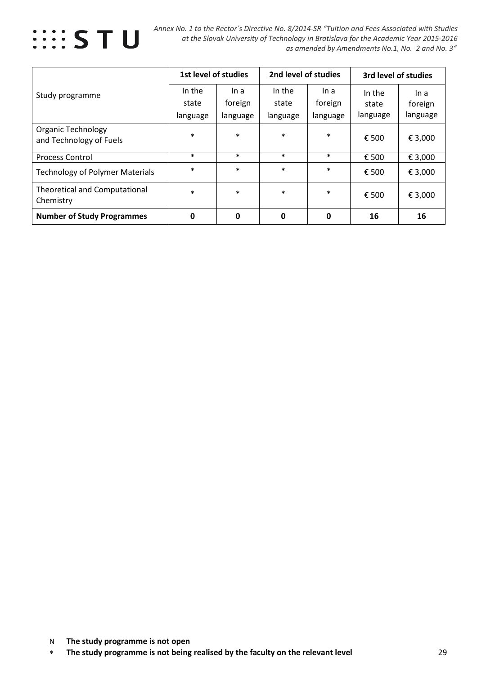

 *Annex No. 1 to the Rector´s Directive No. 8/2014-SR "Tuition and Fees Associated with Studies at the Slovak University of Technology in Bratislava for the Academic Year 2015-2016 as amended by Amendments No.1, No. 2 and No. 3"*

|                                                      |          | 1st level of studies |          | 2nd level of studies |          | 3rd level of studies |  |
|------------------------------------------------------|----------|----------------------|----------|----------------------|----------|----------------------|--|
| Study programme                                      | In the   | In a                 | In the   | In a                 | In the   | In a                 |  |
|                                                      | state    | foreign              | state    | foreign              | state    | foreign              |  |
|                                                      | language | language             | language | language             | language | language             |  |
| <b>Organic Technology</b><br>and Technology of Fuels | $\ast$   | $\ast$               | $\ast$   | $\ast$               | € 500    | € 3,000              |  |
| <b>Process Control</b>                               | $\ast$   | $\ast$               | $\ast$   | $\ast$               | € 500    | € 3,000              |  |
| <b>Technology of Polymer Materials</b>               | $\ast$   | $\ast$               | $\ast$   | $\ast$               | € 500    | € 3,000              |  |
| <b>Theoretical and Computational</b><br>Chemistry    | $\ast$   | $\ast$               | $\ast$   | $\ast$               | € 500    | € 3,000              |  |
| <b>Number of Study Programmes</b>                    | 0        | 0                    | 0        | 0                    | 16       | 16                   |  |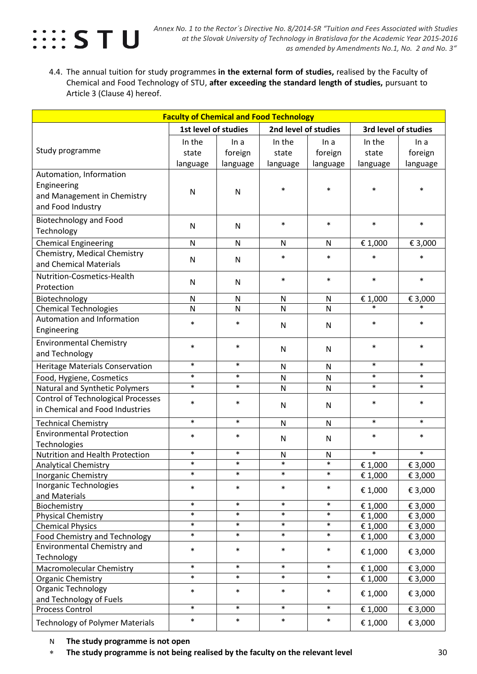

4.4. The annual tuition for study programmes **in the external form of studies,** realised by the Faculty of Chemical and Food Technology of STU, **after exceeding the standard length of studies,** pursuant to Article 3 (Clause 4) hereof.

| <b>Faculty of Chemical and Food Technology</b> |                      |          |                      |              |                    |                      |  |  |
|------------------------------------------------|----------------------|----------|----------------------|--------------|--------------------|----------------------|--|--|
|                                                | 1st level of studies |          | 2nd level of studies |              |                    | 3rd level of studies |  |  |
|                                                | In the               | In a     | In the               | In a         | In the             | In a                 |  |  |
| Study programme                                | state                | foreign  | state                | foreign      | state              | foreign              |  |  |
|                                                | language             | language | language             | language     | language           | language             |  |  |
| Automation, Information                        |                      |          |                      |              |                    |                      |  |  |
| Engineering                                    |                      |          | $\ast$               | $\ast$       | $\ast$             | $\ast$               |  |  |
| and Management in Chemistry                    | N                    | N        |                      |              |                    |                      |  |  |
| and Food Industry                              |                      |          |                      |              |                    |                      |  |  |
| <b>Biotechnology and Food</b>                  |                      |          | $\ast$               | $\ast$       | $\ast$             | $\ast$               |  |  |
| Technology                                     | $\mathsf{N}$         | N        |                      |              |                    |                      |  |  |
| <b>Chemical Engineering</b>                    | N                    | N        | N                    | $\mathsf{N}$ | € 1,000            | € 3,000              |  |  |
| Chemistry, Medical Chemistry                   |                      |          | $\ast$               | $\ast$       | $\ast$             | $\ast$               |  |  |
| and Chemical Materials                         | N                    | N        |                      |              |                    |                      |  |  |
| Nutrition-Cosmetics-Health                     |                      |          | $\ast$               | $\ast$       | $\ast$             | $\ast$               |  |  |
| Protection                                     | ${\sf N}$            | N        |                      |              |                    |                      |  |  |
| Biotechnology                                  | N                    | N        | $\mathsf{N}$         | $\mathsf{N}$ | € 1,000            | € 3,000              |  |  |
| <b>Chemical Technologies</b>                   | N                    | N        | $\mathsf{N}$         | $\mathsf{N}$ | $\ast$             | $\ast$               |  |  |
| Automation and Information                     | $\ast$               | $\ast$   |                      |              | $\ast$             | $\ast$               |  |  |
| Engineering                                    |                      |          | N                    | N            |                    |                      |  |  |
| <b>Environmental Chemistry</b>                 | $\ast$               | $\ast$   |                      |              | $\ast$             | $\ast$               |  |  |
| and Technology                                 |                      |          | $\mathsf{N}$         | N            |                    |                      |  |  |
| <b>Heritage Materials Conservation</b>         | $\ast$               | $\ast$   | $\mathsf{N}$         | $\mathsf{N}$ | $\ast$             | $\ast$               |  |  |
| Food, Hygiene, Cosmetics                       | $\ast$               | $\ast$   | N                    | $\mathsf{N}$ | $\ast$             | $\ast$               |  |  |
| Natural and Synthetic Polymers                 | $\ast$               | $\ast$   | $\mathsf{N}$         | N            | $\ast$             | $\ast$               |  |  |
| <b>Control of Technological Processes</b>      | $\ast$               | $\ast$   |                      |              | $\ast$             | $\ast$               |  |  |
| in Chemical and Food Industries                |                      |          | $\mathsf{N}$         | N            |                    |                      |  |  |
| <b>Technical Chemistry</b>                     | $\ast$               | $\ast$   | N                    | N            | $\ast$             | $\ast$               |  |  |
| <b>Environmental Protection</b>                | $\ast$               | $\ast$   | N                    | N            | $\ast$             | $\ast$               |  |  |
| Technologies                                   |                      |          |                      |              |                    |                      |  |  |
| Nutrition and Health Protection                | $\ast$               | $\ast$   | N                    | $\mathsf{N}$ | $\ast$             | $\ast$               |  |  |
| <b>Analytical Chemistry</b>                    | $\ast$               | $\ast$   | $\ast$               | $\ast$       | € 1,000            | € 3,000              |  |  |
| <b>Inorganic Chemistry</b>                     | $\ast$               | $\ast$   | $\ast$               | $\ast$       | € 1,000            | € 3,000              |  |  |
| Inorganic Technologies                         | $\ast$               | $\ast$   | $\ast$               | $\ast$       | € 1,000            | € 3,000              |  |  |
| and Materials                                  | $\ast$               | $\ast$   | $\ast$               | $\ast$       |                    | € 3,000              |  |  |
| Biochemistry<br><b>Physical Chemistry</b>      | $\ast$               | $\ast$   | $\ast$               | $\ast$       | € 1,000<br>€ 1,000 | € 3,000              |  |  |
| <b>Chemical Physics</b>                        | $\ast$               | $\ast$   | $\ast$               | $\ast$       | € 1,000            | € 3,000              |  |  |
| <b>Food Chemistry and Technology</b>           | $\ast$               | $\ast$   | $\ast$               | $\ast$       | € 1,000            | € 3,000              |  |  |
| Environmental Chemistry and                    | $\ast$               | $\ast$   | $\ast$               | $\ast$       |                    |                      |  |  |
| Technology                                     |                      |          |                      |              | € 1,000            | € 3,000              |  |  |
| Macromolecular Chemistry                       | $\ast$               | $\ast$   | $\ast$               | $\ast$       | € 1,000            | € 3,000              |  |  |
| Organic Chemistry                              | $\ast$               | $\ast$   | $\ast$               | $\ast$       | € 1,000            | € 3,000              |  |  |
| Organic Technology                             | $\ast$               | $\ast$   | $\ast$               | $\ast$       | € 1,000            | € 3,000              |  |  |
| and Technology of Fuels                        |                      |          |                      |              |                    |                      |  |  |
| <b>Process Control</b>                         | $\ast$               | $\ast$   | $\ast$               | $\ast$       | € 1,000            | € 3,000              |  |  |
| <b>Technology of Polymer Materials</b>         | $\ast$               | $\ast$   | $\ast$               | $\ast$       | € 1,000            | € 3,000              |  |  |
|                                                |                      |          |                      |              |                    |                      |  |  |

N **The study programme is not open** 

∗ **The study programme is not being realised by the faculty on the relevant level** 30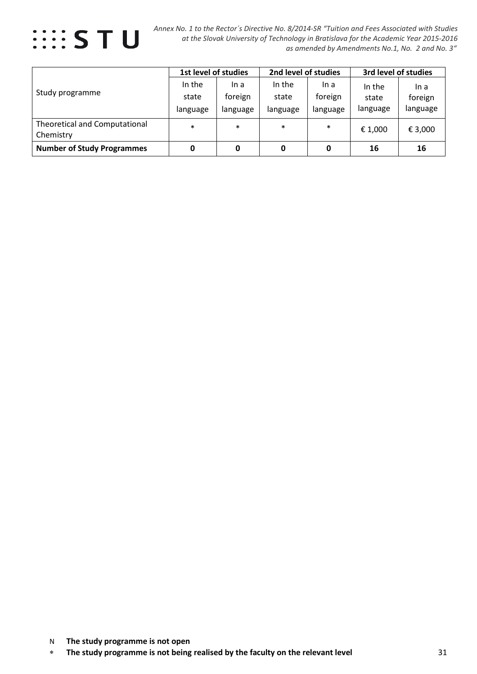

 *Annex No. 1 to the Rector´s Directive No. 8/2014-SR "Tuition and Fees Associated with Studies at the Slovak University of Technology in Bratislava for the Academic Year 2015-2016 as amended by Amendments No.1, No. 2 and No. 3"*

|                                            | 1st level of studies        |                             | 2nd level of studies        |                             | 3rd level of studies        |                             |
|--------------------------------------------|-----------------------------|-----------------------------|-----------------------------|-----------------------------|-----------------------------|-----------------------------|
| Study programme                            | In the<br>state<br>language | In a<br>foreign<br>language | In the<br>state<br>language | ln a<br>foreign<br>language | In the<br>state<br>language | ln a<br>foreign<br>language |
| Theoretical and Computational<br>Chemistry | $\ast$                      | $\ast$                      | $\ast$                      | $\ast$                      | € 1,000                     | € 3,000                     |
| <b>Number of Study Programmes</b>          | 0                           | 0                           | 0                           | 0                           | 16                          | 16                          |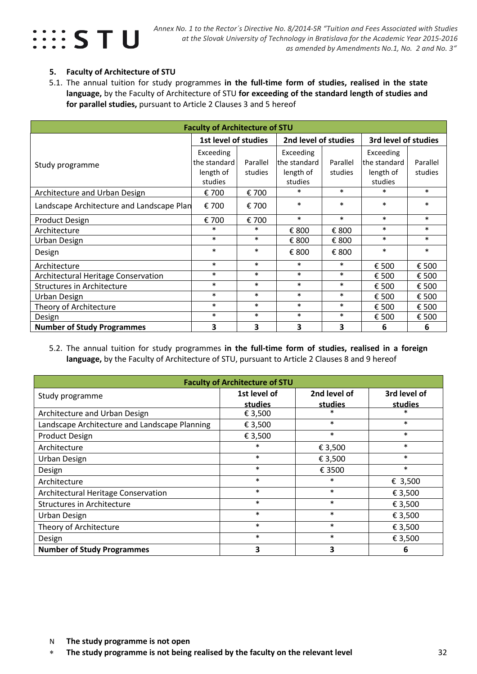

#### **5. Faculty of Architecture of STU**

5.1. The annual tuition for study programmes **in the full-time form of studies, realised in the state language,** by the Faculty of Architecture of STU **for exceeding of the standard length of studies and for parallel studies,** pursuant to Article 2 Clauses 3 and 5 hereof

| <b>Faculty of Architecture of STU</b>      |                      |                         |                                              |          |              |          |  |  |  |
|--------------------------------------------|----------------------|-------------------------|----------------------------------------------|----------|--------------|----------|--|--|--|
|                                            | 1st level of studies |                         | 2nd level of studies<br>3rd level of studies |          |              |          |  |  |  |
|                                            | Exceeding            |                         | Exceeding                                    |          | Exceeding    |          |  |  |  |
| Study programme                            | the standard         | Parallel                | the standard                                 | Parallel | the standard | Parallel |  |  |  |
|                                            | length of            | studies                 | length of                                    | studies  | length of    | studies  |  |  |  |
|                                            | studies              |                         | studies                                      |          | studies      |          |  |  |  |
| Architecture and Urban Design              | € 700                | € 700                   | $\ast$                                       | $\ast$   | $\ast$       | $\ast$   |  |  |  |
| Landscape Architecture and Landscape Plan  | € 700                | € 700                   | $\ast$                                       | $\ast$   | $\ast$       | $\ast$   |  |  |  |
| Product Design                             | € 700                | € 700                   | $\ast$                                       | $\ast$   | $\ast$       | $\ast$   |  |  |  |
| Architecture                               | $\ast$               | $\ast$                  | € 800                                        | € 800    | $\ast$       | $\ast$   |  |  |  |
| Urban Design                               | $\ast$               | $\ast$                  | € 800                                        | € 800    | $\ast$       | $\ast$   |  |  |  |
| Design                                     | $\ast$               | $\ast$                  | € 800                                        | € 800    | $\ast$       | $\ast$   |  |  |  |
| Architecture                               | $\ast$               | $\ast$                  | $\ast$                                       | $\ast$   | € 500        | € 500    |  |  |  |
| <b>Architectural Heritage Conservation</b> | $\ast$               | $\ast$                  | $\ast$                                       | $\ast$   | € 500        | € 500    |  |  |  |
| <b>Structures in Architecture</b>          | $\ast$               | $\ast$                  | $\ast$                                       | $\ast$   | € 500        | € 500    |  |  |  |
| Urban Design                               | $\ast$               | $\ast$                  | $\ast$                                       | $\ast$   | € 500        | € 500    |  |  |  |
| Theory of Architecture                     | $\ast$               | $\ast$                  | $\ast$                                       | $\ast$   | € 500        | € 500    |  |  |  |
| Design                                     | $\ast$               | $\ast$                  | $\ast$                                       | $\ast$   | € 500        | € 500    |  |  |  |
| <b>Number of Study Programmes</b>          | 3                    | $\overline{\mathbf{3}}$ | 3                                            | 3        | 6            | 6        |  |  |  |

#### 5.2. The annual tuition for study programmes **in the full-time form of studies, realised in a foreign language,** by the Faculty of Architecture of STU, pursuant to Article 2 Clauses 8 and 9 hereof

| <b>Faculty of Architecture of STU</b>         |                         |                         |                         |  |  |  |  |  |  |
|-----------------------------------------------|-------------------------|-------------------------|-------------------------|--|--|--|--|--|--|
| Study programme                               | 1st level of<br>studies | 2nd level of<br>studies | 3rd level of<br>studies |  |  |  |  |  |  |
| Architecture and Urban Design                 | € 3,500                 | *                       |                         |  |  |  |  |  |  |
| Landscape Architecture and Landscape Planning | € 3,500                 | $\ast$                  | $\ast$                  |  |  |  |  |  |  |
| <b>Product Design</b>                         | € 3,500                 | $\ast$                  | $\ast$                  |  |  |  |  |  |  |
| Architecture                                  | $\ast$                  | € 3,500                 | $\ast$                  |  |  |  |  |  |  |
| Urban Design                                  | $\ast$                  | € 3,500                 | $\ast$                  |  |  |  |  |  |  |
| Design                                        | $\ast$                  | € 3500                  | $\ast$                  |  |  |  |  |  |  |
| Architecture                                  | $\ast$                  | $\ast$                  | € 3,500                 |  |  |  |  |  |  |
| Architectural Heritage Conservation           | $\ast$                  | $\ast$                  | € 3,500                 |  |  |  |  |  |  |
| <b>Structures in Architecture</b>             | $\ast$                  | $\ast$                  | € 3,500                 |  |  |  |  |  |  |
| Urban Design                                  | $\ast$                  | $\ast$                  | € 3,500                 |  |  |  |  |  |  |
| Theory of Architecture                        | $\ast$                  | $\ast$                  | € 3,500                 |  |  |  |  |  |  |
| Design                                        | $\ast$                  | $\ast$                  | € 3,500                 |  |  |  |  |  |  |
| <b>Number of Study Programmes</b>             | 3                       | 3                       | 6                       |  |  |  |  |  |  |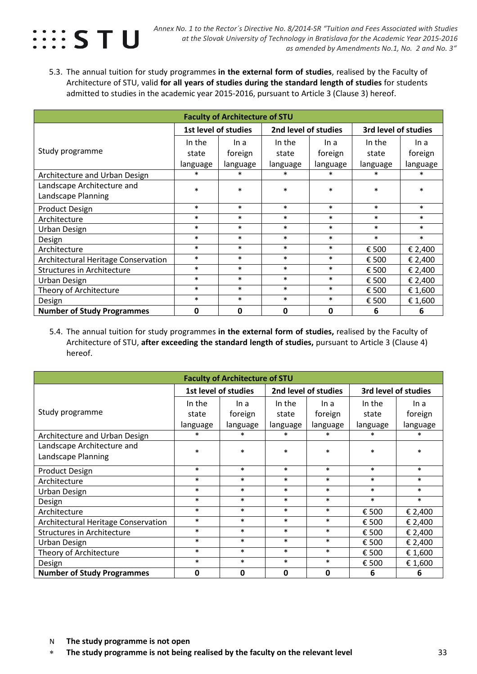

5.3. The annual tuition for study programmes **in the external form of studies**, realised by the Faculty of Architecture of STU, valid **for all years of studies during the standard length of studies** for students admitted to studies in the academic year 2015-2016, pursuant to Article 3 (Clause 3) hereof.

| <b>Faculty of Architecture of STU</b> |                      |              |                      |          |          |          |  |  |  |
|---------------------------------------|----------------------|--------------|----------------------|----------|----------|----------|--|--|--|
|                                       | 1st level of studies |              | 3rd level of studies |          |          |          |  |  |  |
|                                       | In the               | In a         | In the               | In a     | In the   | In a     |  |  |  |
| Study programme                       | state                | foreign      | state                | foreign  | state    | foreign  |  |  |  |
|                                       | language             | language     | language             | language | language | language |  |  |  |
| Architecture and Urban Design         | $\ast$               | $\ast$       | *                    | $\ast$   | $\ast$   | $\ast$   |  |  |  |
| Landscape Architecture and            | $\ast$               | $\ast$       | $\ast$               | $\ast$   | $\ast$   | $\ast$   |  |  |  |
| Landscape Planning                    |                      |              |                      |          |          |          |  |  |  |
| <b>Product Design</b>                 | $\ast$               | $\ast$       | $\ast$               | $\ast$   | $\ast$   | $\ast$   |  |  |  |
| Architecture                          | $\ast$               | $\ast$       | $\ast$               | $\ast$   | $\ast$   | $\ast$   |  |  |  |
| Urban Design                          | $\ast$               | $\ast$       | $\ast$               | $\ast$   | $\ast$   | $\ast$   |  |  |  |
| Design                                | $\ast$               | $\ast$       | $\ast$               | $\ast$   | $\ast$   | $\ast$   |  |  |  |
| Architecture                          | $\ast$               | $\ast$       | $\ast$               | $\ast$   | € 500    | € 2,400  |  |  |  |
| Architectural Heritage Conservation   | $\ast$               | $\ast$       | $\ast$               | $\ast$   | € 500    | € 2,400  |  |  |  |
| <b>Structures in Architecture</b>     | $\ast$               | $\ast$       | $\ast$               | $\ast$   | € 500    | € 2,400  |  |  |  |
| Urban Design                          | $\ast$               | $\ast$       | $\ast$               | $\ast$   | € 500    | € 2,400  |  |  |  |
| Theory of Architecture                | $\ast$               | $\ast$       | $\ast$               | $\ast$   | € 500    | € 1,600  |  |  |  |
| Design                                | $\ast$               | $\ast$       | $\ast$               | $\ast$   | € 500    | € 1,600  |  |  |  |
| <b>Number of Study Programmes</b>     | 0                    | $\mathbf{0}$ | $\mathbf{0}$         | 0        | 6        | 6        |  |  |  |

5.4. The annual tuition for study programmes **in the external form of studies,** realised by the Faculty of Architecture of STU, **after exceeding the standard length of studies,** pursuant to Article 3 (Clause 4) hereof.

| <b>Faculty of Architecture of STU</b>      |                                                                      |          |          |          |          |          |  |  |  |
|--------------------------------------------|----------------------------------------------------------------------|----------|----------|----------|----------|----------|--|--|--|
|                                            | 1st level of studies<br>2nd level of studies<br>3rd level of studies |          |          |          |          |          |  |  |  |
|                                            | In the                                                               | In a     | In the   | In a     | In the   | In a     |  |  |  |
| Study programme                            | state                                                                | foreign  | state    | foreign  | state    | foreign  |  |  |  |
|                                            | language                                                             | language | language | language | language | language |  |  |  |
| Architecture and Urban Design              | $\ast$                                                               | $\ast$   | $\ast$   | $\ast$   | $\ast$   | $\ast$   |  |  |  |
| Landscape Architecture and                 | $\ast$                                                               | $\ast$   | $\ast$   | $\ast$   | $\ast$   | $\ast$   |  |  |  |
| Landscape Planning                         |                                                                      |          |          |          |          |          |  |  |  |
| <b>Product Design</b>                      | $\ast$                                                               | $\ast$   | $\ast$   | $\ast$   | $\ast$   | $\ast$   |  |  |  |
| Architecture                               | $\ast$                                                               | $\ast$   | $\ast$   | $\ast$   | $\ast$   | $\ast$   |  |  |  |
| Urban Design                               | $\ast$                                                               | $\ast$   | $\ast$   | $\ast$   | $\ast$   | $\ast$   |  |  |  |
| Design                                     | $\ast$                                                               | $\ast$   | $\ast$   | $\ast$   | $\ast$   | $\ast$   |  |  |  |
| Architecture                               | $\ast$                                                               | $\ast$   | $\ast$   | $\ast$   | € 500    | € 2,400  |  |  |  |
| <b>Architectural Heritage Conservation</b> | $\ast$                                                               | $\ast$   | $\ast$   | $\ast$   | € 500    | € 2,400  |  |  |  |
| <b>Structures in Architecture</b>          | $\ast$                                                               | $\ast$   | $\ast$   | $\ast$   | € 500    | € 2,400  |  |  |  |
| <b>Urban Design</b>                        | $\ast$                                                               | $\ast$   | $\ast$   | $\ast$   | € 500    | € 2,400  |  |  |  |
| Theory of Architecture                     | $\ast$                                                               | $\ast$   | $\ast$   | $\ast$   | € 500    | € 1,600  |  |  |  |
| Design                                     | $\ast$                                                               | $\ast$   | $\ast$   | $\ast$   | € 500    | € 1,600  |  |  |  |
| <b>Number of Study Programmes</b>          | 0                                                                    | 0        | 0        | 0        | 6        | 6        |  |  |  |

∗ **The study programme is not being realised by the faculty on the relevant level** 33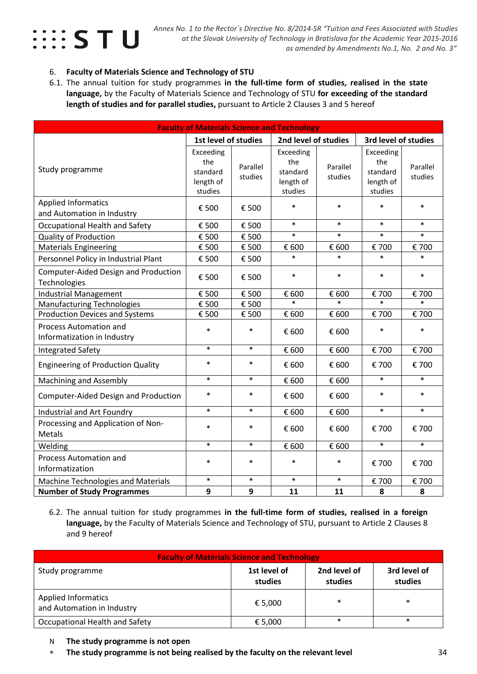

#### 6. **Faculty of Materials Science and Technology of STU**

6.1. The annual tuition for study programmes **in the full-time form of studies, realised in the state language,** by the Faculty of Materials Science and Technology of STU **for exceeding of the standard length of studies and for parallel studies,** pursuant to Article 2 Clauses 3 and 5 hereof

| <b>Faculty of Materials Science and Technology</b>           |                                                      |                     |                                                      |                     |                                                      |                     |  |  |
|--------------------------------------------------------------|------------------------------------------------------|---------------------|------------------------------------------------------|---------------------|------------------------------------------------------|---------------------|--|--|
|                                                              | 1st level of studies                                 |                     | 2nd level of studies                                 |                     | 3rd level of studies                                 |                     |  |  |
| Study programme                                              | Exceeding<br>the<br>standard<br>length of<br>studies | Parallel<br>studies | Exceeding<br>the<br>standard<br>length of<br>studies | Parallel<br>studies | Exceeding<br>the<br>standard<br>length of<br>studies | Parallel<br>studies |  |  |
| <b>Applied Informatics</b>                                   | € 500                                                | € 500               | $\ast$                                               | $\ast$              | $\ast$                                               | $\ast$              |  |  |
| and Automation in Industry                                   |                                                      |                     |                                                      |                     |                                                      |                     |  |  |
| Occupational Health and Safety                               | € 500                                                | € 500               | $\ast$                                               | $\ast$              | $\ast$                                               | $\ast$              |  |  |
| <b>Quality of Production</b>                                 | € 500                                                | € 500               | $\ast$                                               | $\ast$              | $\ast$                                               | $\ast$              |  |  |
| <b>Materials Engineering</b>                                 | € 500                                                | € 500               | € 600                                                | € 600               | € 700                                                | € 700               |  |  |
| Personnel Policy in Industrial Plant                         | € 500                                                | € 500               | $\ast$                                               | $\ast$              | $\ast$                                               | $\ast$              |  |  |
| Computer-Aided Design and Production<br>Technologies         | € 500                                                | € 500               | $\ast$                                               | $\ast$              | $\ast$                                               | $\ast$              |  |  |
| <b>Industrial Management</b>                                 | € 500                                                | € 500               | € 600                                                | € 600               | € 700                                                | € 700               |  |  |
| <b>Manufacturing Technologies</b>                            | € 500                                                | € 500               | $\ast$                                               | $\ast$              | $\ast$                                               | $\ast$              |  |  |
| <b>Production Devices and Systems</b>                        | € 500                                                | € 500               | € 600                                                | € 600               | € 700                                                | € 700               |  |  |
| <b>Process Automation and</b><br>Informatization in Industry | $\ast$                                               | $\ast$              | € 600                                                | € 600               | $\ast$                                               | $\ast$              |  |  |
| <b>Integrated Safety</b>                                     | $\ast$                                               | $\ast$              | € 600                                                | € 600               | € 700                                                | € 700               |  |  |
| <b>Engineering of Production Quality</b>                     | $\ast$                                               | $\ast$              | € 600                                                | € 600               | € 700                                                | € 700               |  |  |
| <b>Machining and Assembly</b>                                | $\ast$                                               | $\ast$              | € 600                                                | € 600               | $\ast$                                               | $\ast$              |  |  |
| Computer-Aided Design and Production                         | $\ast$                                               | $\ast$              | € 600                                                | € 600               | $\ast$                                               | $\ast$              |  |  |
| Industrial and Art Foundry                                   | $\ast$                                               | $\ast$              | € 600                                                | € 600               | $\ast$                                               | $\ast$              |  |  |
| Processing and Application of Non-<br><b>Metals</b>          | $\ast$                                               | $\ast$              | € 600                                                | € 600               | € 700                                                | € 700               |  |  |
| Welding                                                      | $\ast$                                               | $\ast$              | € 600                                                | € 600               | $\ast$                                               | $\ast$              |  |  |
| <b>Process Automation and</b><br>Informatization             | $\ast$                                               | $\ast$              | $\ast$                                               | $\ast$              | € 700                                                | € 700               |  |  |
| <b>Machine Technologies and Materials</b>                    | $\ast$                                               | $\ast$              | $\ast$                                               | $\ast$              | € 700                                                | € 700               |  |  |
| <b>Number of Study Programmes</b>                            | 9                                                    | 9                   | 11                                                   | 11                  | 8                                                    | 8                   |  |  |

6.2. The annual tuition for study programmes **in the full-time form of studies, realised in a foreign language,** by the Faculty of Materials Science and Technology of STU, pursuant to Article 2 Clauses 8 and 9 hereof

| <b>Faculty of Materials Science and Technology</b>       |                         |                         |                         |  |  |  |  |  |  |
|----------------------------------------------------------|-------------------------|-------------------------|-------------------------|--|--|--|--|--|--|
| Study programme                                          | 1st level of<br>studies | 2nd level of<br>studies | 3rd level of<br>studies |  |  |  |  |  |  |
| <b>Applied Informatics</b><br>and Automation in Industry | € 5,000                 | $\ast$                  | $\ast$                  |  |  |  |  |  |  |
| Occupational Health and Safety                           | € 5,000                 | $\ast$                  | $\ast$                  |  |  |  |  |  |  |

- N **The study programme is not open**
- ∗ **The study programme is not being realised by the faculty on the relevant level** 34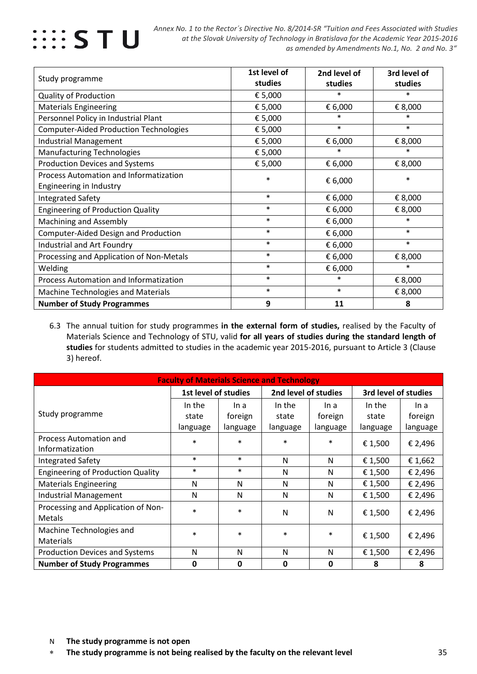

|                                               | 1st level of | 2nd level of | 3rd level of |
|-----------------------------------------------|--------------|--------------|--------------|
| Study programme                               | studies      | studies      | studies      |
| <b>Quality of Production</b>                  | € 5,000      | $\ast$       | $\ast$       |
| <b>Materials Engineering</b>                  | € 5,000      | € 6,000      | € 8,000      |
| Personnel Policy in Industrial Plant          | € 5,000      | $\ast$       | $\ast$       |
| <b>Computer-Aided Production Technologies</b> | € 5,000      | $\ast$       | $\ast$       |
| <b>Industrial Management</b>                  | € 5,000      | € 6,000      | € 8,000      |
| <b>Manufacturing Technologies</b>             | € 5,000      | $\ast$       | $\ast$       |
| Production Devices and Systems                | € 5,000      | € 6,000      | € 8,000      |
| Process Automation and Informatization        | $\ast$       | € 6,000      | $\ast$       |
| Engineering in Industry                       |              |              |              |
| <b>Integrated Safety</b>                      | $\ast$       | € 6,000      | € 8,000      |
| <b>Engineering of Production Quality</b>      | $\ast$       | € 6,000      | € 8,000      |
| <b>Machining and Assembly</b>                 | $\ast$       | € 6,000      | $\ast$       |
| Computer-Aided Design and Production          | $\ast$       | € 6,000      | $\ast$       |
| Industrial and Art Foundry                    | $\ast$       | € 6,000      | $\ast$       |
| Processing and Application of Non-Metals      | $\ast$       | € 6,000      | € 8,000      |
| Welding                                       | $\ast$       | € 6,000      | $\ast$       |
| Process Automation and Informatization        | $\ast$       | $\ast$       | € 8,000      |
| Machine Technologies and Materials            | $\ast$       | $\ast$       | € 8,000      |
| <b>Number of Study Programmes</b>             | 9            | 11           | 8            |

6.3 The annual tuition for study programmes **in the external form of studies,** realised by the Faculty of Materials Science and Technology of STU, valid **for all years of studies during the standard length of studies** for students admitted to studies in the academic year 2015-2016, pursuant to Article 3 (Clause 3) hereof.

| <b>Faculty of Materials Science and Technology</b> |                      |          |                      |              |                      |          |  |  |  |  |
|----------------------------------------------------|----------------------|----------|----------------------|--------------|----------------------|----------|--|--|--|--|
|                                                    | 1st level of studies |          | 2nd level of studies |              | 3rd level of studies |          |  |  |  |  |
|                                                    | In the               | In a     | In the               | In a         | In the               | In a     |  |  |  |  |
| Study programme                                    | state                | foreign  | state                | foreign      | state                | foreign  |  |  |  |  |
|                                                    | language             | language | language             | language     | language             | language |  |  |  |  |
| Process Automation and                             | $\ast$               | $\ast$   | $\ast$               | $\ast$       | € 1,500              | € 2,496  |  |  |  |  |
| Informatization                                    |                      |          |                      |              |                      |          |  |  |  |  |
| <b>Integrated Safety</b>                           | $\ast$               | $\ast$   | N                    | N            | € 1,500              | € 1,662  |  |  |  |  |
| <b>Engineering of Production Quality</b>           | $\ast$               | $\ast$   | N                    | N            | € 1,500              | € 2,496  |  |  |  |  |
| <b>Materials Engineering</b>                       | N                    | N        | N                    | N            | € 1,500              | € 2,496  |  |  |  |  |
| Industrial Management                              | N                    | N        | N                    | N            | € 1,500              | € 2,496  |  |  |  |  |
| Processing and Application of Non-                 | $\ast$               | $\ast$   | N                    |              |                      |          |  |  |  |  |
| Metals                                             |                      |          |                      | N            | € 1,500              | € 2,496  |  |  |  |  |
| Machine Technologies and                           | $\ast$               | $\ast$   | $\ast$               | $\ast$       |                      |          |  |  |  |  |
| <b>Materials</b>                                   |                      |          |                      |              | € 1,500              | € 2,496  |  |  |  |  |
| <b>Production Devices and Systems</b>              | N                    | N        | N                    | N            | € 1,500              | € 2,496  |  |  |  |  |
| <b>Number of Study Programmes</b>                  | 0                    | 0        | $\mathbf{0}$         | $\mathbf{0}$ | 8                    | 8        |  |  |  |  |

∗ **The study programme is not being realised by the faculty on the relevant level** 35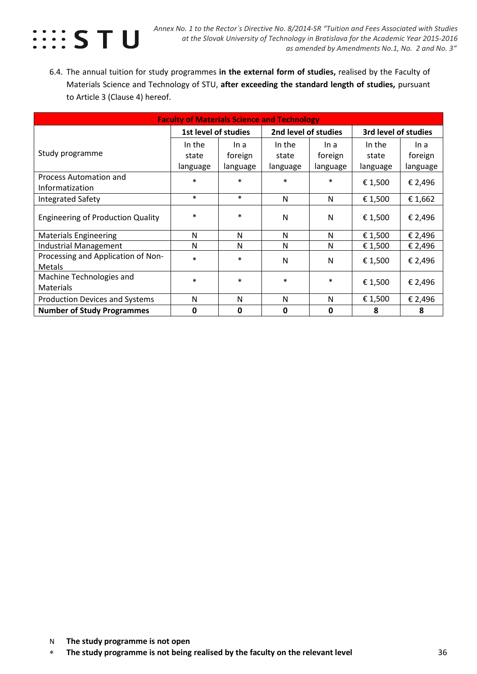

6.4. The annual tuition for study programmes **in the external form of studies,** realised by the Faculty of Materials Science and Technology of STU, **after exceeding the standard length of studies,** pursuant to Article 3 (Clause 4) hereof.

| <b>Faculty of Materials Science and Technology</b>  |                                              |             |          |          |                      |          |  |  |  |
|-----------------------------------------------------|----------------------------------------------|-------------|----------|----------|----------------------|----------|--|--|--|
|                                                     | 1st level of studies<br>2nd level of studies |             |          |          | 3rd level of studies |          |  |  |  |
|                                                     | In the                                       | In a        | In the   | In a     | In the               | In a     |  |  |  |
| Study programme                                     | state                                        | foreign     | state    | foreign  | state                | foreign  |  |  |  |
|                                                     | language                                     | language    | language | language | language             | language |  |  |  |
| Process Automation and                              | $\ast$                                       | $\ast$      | $\ast$   | $\ast$   | € 1,500              | € 2,496  |  |  |  |
| Informatization                                     |                                              |             |          |          |                      |          |  |  |  |
| <b>Integrated Safety</b>                            | $\ast$                                       | $\ast$      | N        | N        | € 1,500              | € 1,662  |  |  |  |
| <b>Engineering of Production Quality</b>            | $\ast$                                       | $\ast$      | N        | N        | € 1,500              | € 2,496  |  |  |  |
| <b>Materials Engineering</b>                        | N                                            | N           | N        | N        | € 1,500              | € 2,496  |  |  |  |
| Industrial Management                               | N                                            | N           | N        | N        | € 1,500              | € 2,496  |  |  |  |
| Processing and Application of Non-<br><b>Metals</b> | $\ast$                                       | $\ast$      | N        | N        | € 1,500              | € 2,496  |  |  |  |
| Machine Technologies and                            | $\ast$                                       | $\ast$      | $\ast$   | $\ast$   | € 1,500              | € 2,496  |  |  |  |
| <b>Materials</b>                                    |                                              |             |          |          |                      |          |  |  |  |
| <b>Production Devices and Systems</b>               | N                                            | N           | N        | N        | € 1,500              | € 2,496  |  |  |  |
| <b>Number of Study Programmes</b>                   | 0                                            | $\mathbf 0$ | 0        | 0        | 8                    | 8        |  |  |  |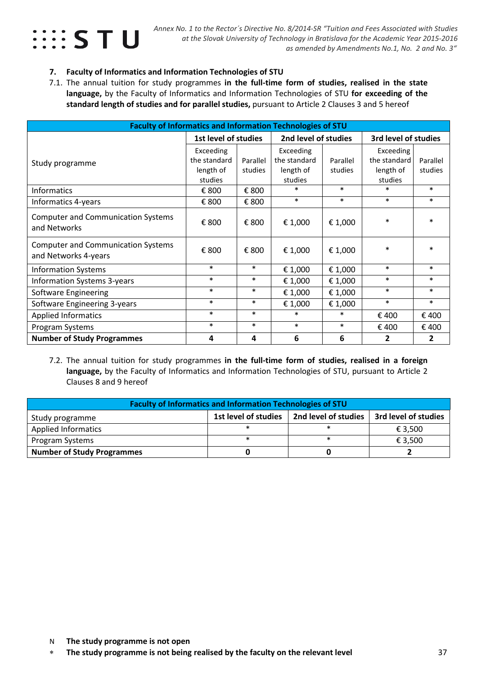

#### **7. Faculty of Informatics and Information Technologies of STU**

7.1. The annual tuition for study programmes **in the full-time form of studies, realised in the state language,** by the Faculty of Informatics and Information Technologies of STU **for exceeding of the standard length of studies and for parallel studies,** pursuant to Article 2 Clauses 3 and 5 hereof

| <b>Faculty of Informatics and Information Technologies of STU</b> |                      |          |                      |          |                      |          |  |
|-------------------------------------------------------------------|----------------------|----------|----------------------|----------|----------------------|----------|--|
|                                                                   | 1st level of studies |          | 2nd level of studies |          | 3rd level of studies |          |  |
|                                                                   | Exceeding            |          | Exceeding            |          | Exceeding            |          |  |
| Study programme                                                   | the standard         | Parallel | the standard         | Parallel | the standard         | Parallel |  |
|                                                                   | length of            | studies  | length of            | studies  | length of            | studies  |  |
|                                                                   | studies              |          | studies              |          | studies              |          |  |
| Informatics                                                       | € 800                | € 800    | $\ast$               | $\ast$   | $\ast$               | $\ast$   |  |
| Informatics 4-years                                               | € 800                | € 800    | $\ast$               | $\ast$   | $\ast$               | $\ast$   |  |
| <b>Computer and Communication Systems</b><br>and Networks         | € 800                | € 800    | € 1,000              | € 1,000  | $\ast$               | $\ast$   |  |
| <b>Computer and Communication Systems</b><br>and Networks 4-years | € 800                | € 800    | € 1,000              | € 1,000  | $\ast$               | $\ast$   |  |
| <b>Information Systems</b>                                        | $\ast$               | $\ast$   | € 1,000              | € 1,000  | $\ast$               | $\ast$   |  |
| <b>Information Systems 3-years</b>                                | $\ast$               | $\ast$   | € 1,000              | € 1,000  | $\ast$               | $\ast$   |  |
| Software Engineering                                              | $\ast$               | $\ast$   | € 1,000              | € 1,000  | $\ast$               | $\ast$   |  |
| Software Engineering 3-years                                      | $\ast$               | $\ast$   | € 1,000              | € 1,000  | $\ast$               | $\ast$   |  |
| <b>Applied Informatics</b>                                        | $\ast$               | $\ast$   | $\ast$               | $\ast$   | €400                 | € 400    |  |
| Program Systems                                                   | $\ast$               | $\ast$   | $\ast$               | $\ast$   | € 400                | € 400    |  |
| <b>Number of Study Programmes</b>                                 | 4                    | 4        | 6                    | 6        | 2                    | 2        |  |

7.2. The annual tuition for study programmes **in the full-time form of studies, realised in a foreign language,** by the Faculty of Informatics and Information Technologies of STU, pursuant to Article 2 Clauses 8 and 9 hereof

| <b>Faculty of Informatics and Information Technologies of STU</b>                       |  |  |         |  |  |  |  |  |
|-----------------------------------------------------------------------------------------|--|--|---------|--|--|--|--|--|
| 1st level of studies<br>2nd level of studies<br>3rd level of studies<br>Study programme |  |  |         |  |  |  |  |  |
| <b>Applied Informatics</b>                                                              |  |  | € 3.500 |  |  |  |  |  |
| Program Systems                                                                         |  |  | € 3,500 |  |  |  |  |  |
| <b>Number of Study Programmes</b>                                                       |  |  |         |  |  |  |  |  |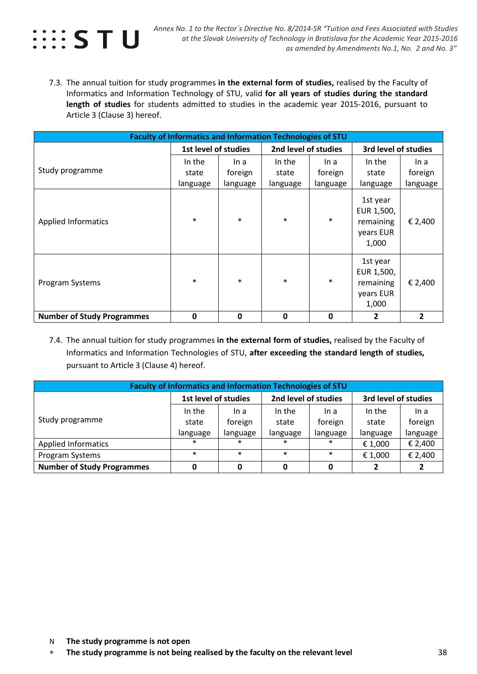

7.3. The annual tuition for study programmes **in the external form of studies,** realised by the Faculty of Informatics and Information Technology of STU, valid **for all years of studies during the standard length of studies** for students admitted to studies in the academic year 2015-2016, pursuant to Article 3 (Clause 3) hereof.

| <b>Faculty of Informatics and Information Technologies of STU</b> |                      |          |                      |          |                                                           |          |  |  |
|-------------------------------------------------------------------|----------------------|----------|----------------------|----------|-----------------------------------------------------------|----------|--|--|
|                                                                   | 1st level of studies |          | 2nd level of studies |          | 3rd level of studies                                      |          |  |  |
|                                                                   | In the               | In a     | In the               | In a     | In the                                                    | In a     |  |  |
| Study programme                                                   | state                | foreign  | state                | foreign  | state                                                     | foreign  |  |  |
|                                                                   | language             | language | language             | language | language                                                  | language |  |  |
| <b>Applied Informatics</b>                                        | $\ast$               | $\ast$   | $\ast$               | $\ast$   | 1st year<br>EUR 1,500,<br>remaining<br>years EUR<br>1,000 | € 2,400  |  |  |
| Program Systems                                                   | $\ast$               | $\ast$   | $\ast$               | $\ast$   | 1st year<br>EUR 1,500,<br>remaining<br>years EUR<br>1,000 | € 2,400  |  |  |
| <b>Number of Study Programmes</b>                                 | 0                    | 0        | $\mathbf 0$          | 0        | 2                                                         | 2        |  |  |

7.4. The annual tuition for study programmes **in the external form of studies,** realised by the Faculty of Informatics and Information Technologies of STU, **after exceeding the standard length of studies,**  pursuant to Article 3 (Clause 4) hereof.

| <b>Faculty of Informatics and Information Technologies of STU</b> |                      |          |                      |          |                      |          |  |  |
|-------------------------------------------------------------------|----------------------|----------|----------------------|----------|----------------------|----------|--|--|
|                                                                   | 1st level of studies |          | 2nd level of studies |          | 3rd level of studies |          |  |  |
|                                                                   | In the               | In a     | In the               | In a     | In the               | In a     |  |  |
| Study programme                                                   | state                | foreign  | state                | foreign  | state                | foreign  |  |  |
|                                                                   | language             | language | language             | language | language             | language |  |  |
| <b>Applied Informatics</b>                                        | $\ast$               | $\ast$   | $\ast$               | ∗        | € 1,000              | € 2,400  |  |  |
| Program Systems                                                   | $\ast$               | $\ast$   | $\ast$               | $\ast$   | € 1,000              | € 2,400  |  |  |
| <b>Number of Study Programmes</b>                                 |                      | 0        | $\Omega$             | 0        |                      |          |  |  |

- N **The study programme is not open**
- ∗ **The study programme is not being realised by the faculty on the relevant level** 38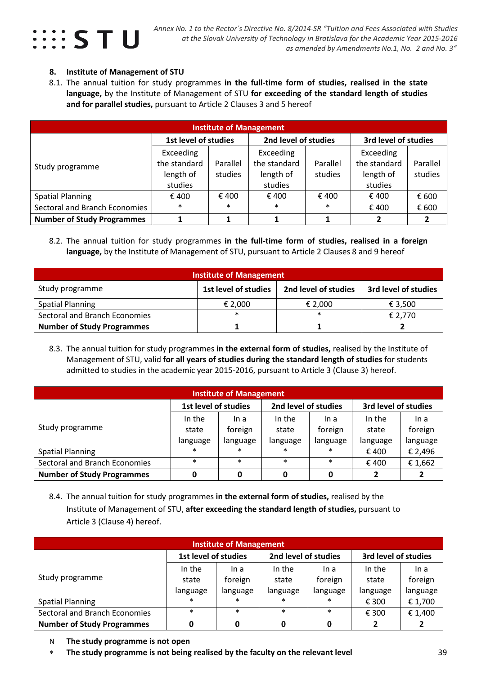

#### **8. Institute of Management of STU**

8.1. The annual tuition for study programmes **in the full-time form of studies, realised in the state language,** by the Institute of Management of STU **for exceeding of the standard length of studies and for parallel studies,** pursuant to Article 2 Clauses 3 and 5 hereof

| <b>Institute of Management</b>       |                      |          |                      |                |                      |          |  |  |  |
|--------------------------------------|----------------------|----------|----------------------|----------------|----------------------|----------|--|--|--|
|                                      | 1st level of studies |          | 2nd level of studies |                | 3rd level of studies |          |  |  |  |
| Study programme                      | Exceeding            |          | Exceeding            |                | Exceeding            |          |  |  |  |
|                                      | the standard         | Parallel | the standard         | Parallel       | the standard         | Parallel |  |  |  |
|                                      | length of            | studies  | length of            | studies        | length of            | studies  |  |  |  |
|                                      | studies              |          | studies              |                | studies              |          |  |  |  |
| <b>Spatial Planning</b>              | € 400                | € 400    | € 400                | $\epsilon$ 400 | €400                 | € 600    |  |  |  |
| <b>Sectoral and Branch Economies</b> | $\ast$               | $\ast$   | $\ast$               | $\ast$         | €400                 | € 600    |  |  |  |
| <b>Number of Study Programmes</b>    |                      |          |                      |                | 2                    |          |  |  |  |

8.2. The annual tuition for study programmes **in the full-time form of studies, realised in a foreign language,** by the Institute of Management of STU, pursuant to Article 2 Clauses 8 and 9 hereof

| <b>Institute of Management</b>                                                          |         |         |         |  |  |  |  |  |
|-----------------------------------------------------------------------------------------|---------|---------|---------|--|--|--|--|--|
| Study programme<br>1st level of studies<br>2nd level of studies<br>3rd level of studies |         |         |         |  |  |  |  |  |
| <b>Spatial Planning</b>                                                                 | € 2.000 | € 2,000 | € 3,500 |  |  |  |  |  |
| Sectoral and Branch Economies                                                           | $\ast$  | $\ast$  | € 2,770 |  |  |  |  |  |
| <b>Number of Study Programmes</b>                                                       |         |         |         |  |  |  |  |  |

8.3. The annual tuition for study programmes **in the external form of studies,** realised by the Institute of Management of STU, valid **for all years of studies during the standard length of studies** for students admitted to studies in the academic year 2015-2016, pursuant to Article 3 (Clause 3) hereof.

| <b>Institute of Management</b>    |                      |          |                      |          |                      |          |  |  |
|-----------------------------------|----------------------|----------|----------------------|----------|----------------------|----------|--|--|
|                                   | 1st level of studies |          | 2nd level of studies |          | 3rd level of studies |          |  |  |
| Study programme                   | In the               | In a     | In the               | In a     | In the               | In a     |  |  |
|                                   | state                | foreign  | state                | foreign  | state                | foreign  |  |  |
|                                   | language             | language | language             | language | language             | language |  |  |
| <b>Spatial Planning</b>           | $\ast$               | $\ast$   | $\ast$               | $\ast$   | € 400                | € 2,496  |  |  |
| Sectoral and Branch Economies     | $\ast$               | $\ast$   | $\ast$               | $\ast$   | € 400                | € 1,662  |  |  |
| <b>Number of Study Programmes</b> | Λ                    | 0        | 0                    | 0        | 2                    |          |  |  |

8.4. The annual tuition for study programmes **in the external form of studies,** realised by the Institute of Management of STU, **after exceeding the standard length of studies,** pursuant to Article 3 (Clause 4) hereof.

| <b>Institute of Management</b>    |                      |          |                      |          |                      |          |  |  |  |
|-----------------------------------|----------------------|----------|----------------------|----------|----------------------|----------|--|--|--|
|                                   | 1st level of studies |          | 2nd level of studies |          | 3rd level of studies |          |  |  |  |
|                                   | In the               | In a     | In the               | In a     | In the               | In a     |  |  |  |
| Study programme                   | state                | foreign  | state                | foreign  | state                | foreign  |  |  |  |
|                                   | language             | language | language             | language | language             | language |  |  |  |
| <b>Spatial Planning</b>           | $\ast$               | $\ast$   | $\ast$               | $\ast$   | € 300                | € 1,700  |  |  |  |
| Sectoral and Branch Economies     | $\ast$               | $\ast$   | $\ast$               | $\ast$   | € 300                | € 1,400  |  |  |  |
| <b>Number of Study Programmes</b> | 0                    | 0        |                      | O        | 2                    |          |  |  |  |

- N **The study programme is not open**
- ∗ **The study programme is not being realised by the faculty on the relevant level** 39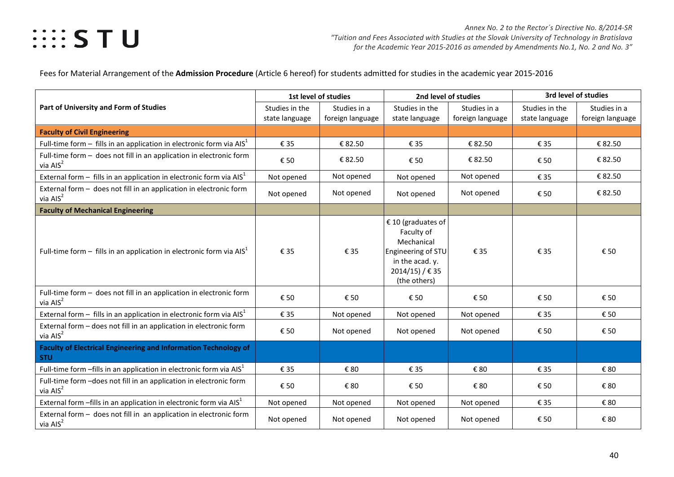Fees for Material Arrangement of the **Admission Procedure** (Article 6 hereof) for students admitted for studies in the academic year 2015-2016

|                                                                                      | 1st level of studies             |                                  | 2nd level of studies                                                                                                          |                                  | 3rd level of studies             |                                  |
|--------------------------------------------------------------------------------------|----------------------------------|----------------------------------|-------------------------------------------------------------------------------------------------------------------------------|----------------------------------|----------------------------------|----------------------------------|
| Part of University and Form of Studies                                               | Studies in the<br>state language | Studies in a<br>foreign language | Studies in the<br>state language                                                                                              | Studies in a<br>foreign language | Studies in the<br>state language | Studies in a<br>foreign language |
| <b>Faculty of Civil Engineering</b>                                                  |                                  |                                  |                                                                                                                               |                                  |                                  |                                  |
| Full-time form $-$ fills in an application in electronic form via $AIS1$             | € 35                             | € 82.50                          | € 35                                                                                                                          | € 82.50                          | € 35                             | € 82.50                          |
| Full-time form - does not fill in an application in electronic form<br>via $AIS2$    | € 50                             | € 82.50                          | € 50                                                                                                                          | € 82.50                          | € 50                             | € 82.50                          |
| External form $-$ fills in an application in electronic form via $AIS1$              | Not opened                       | Not opened                       | Not opened                                                                                                                    | Not opened                       | € 35                             | € 82.50                          |
| External form - does not fill in an application in electronic form<br>via $AIS2$     | Not opened                       | Not opened                       | Not opened                                                                                                                    | Not opened                       | € 50                             | € 82.50                          |
| <b>Faculty of Mechanical Engineering</b>                                             |                                  |                                  |                                                                                                                               |                                  |                                  |                                  |
| Full-time form $-$ fills in an application in electronic form via $AIS1$             | € 35                             | € 35                             | € 10 (graduates of<br>Faculty of<br>Mechanical<br>Engineering of STU<br>in the acad. y.<br>$2014/15$ ) / € 35<br>(the others) | € 35                             | € 35                             | € 50                             |
| Full-time form - does not fill in an application in electronic form<br>via $AIS2$    | € 50                             | € 50                             | € 50                                                                                                                          | € 50                             | € 50                             | € 50                             |
| External form $-$ fills in an application in electronic form via AIS <sup>1</sup>    | € 35                             | Not opened                       | Not opened                                                                                                                    | Not opened                       | € 35                             | € 50                             |
| External form - does not fill in an application in electronic form<br>via $AIS2$     | € 50                             | Not opened                       | Not opened                                                                                                                    | Not opened                       | € 50                             | € 50                             |
| <b>Faculty of Electrical Engineering and Information Technology of</b><br><b>STU</b> |                                  |                                  |                                                                                                                               |                                  |                                  |                                  |
| Full-time form -fills in an application in electronic form via AIS <sup>1</sup>      | € 35                             | € 80                             | € 35                                                                                                                          | € 80                             | € 35                             | € 80                             |
| Full-time form -does not fill in an application in electronic form<br>via $AIS2$     | € 50                             | € 80                             | € 50                                                                                                                          | € 80                             | € 50                             | € 80                             |
| External form $-fills$ in an application in electronic form via $AIS1$               | Not opened                       | Not opened                       | Not opened                                                                                                                    | Not opened                       | € 35                             | € 80                             |
| External form - does not fill in an application in electronic form<br>via $AIS2$     | Not opened                       | Not opened                       | Not opened                                                                                                                    | Not opened                       | € 50                             | € 80                             |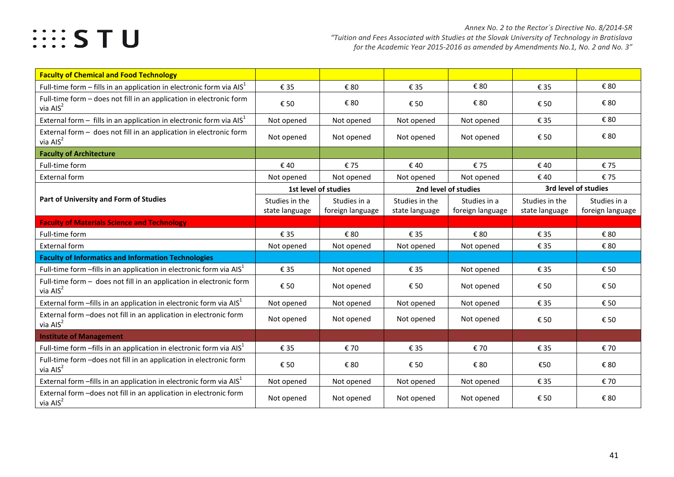## **EXAMPLE STU**

| <b>Faculty of Chemical and Food Technology</b>                                    |                |                      |                      |                  |                |                      |
|-----------------------------------------------------------------------------------|----------------|----------------------|----------------------|------------------|----------------|----------------------|
| Full-time form $-$ fills in an application in electronic form via $AIS1$          | € 35           | € 80                 | € 35                 | € 80             | € 35           | € 80                 |
| Full-time form - does not fill in an application in electronic form<br>via $AIS2$ | € 50           | € 80                 | € 50                 | € 80             | € 50           | € 80                 |
| External form $-$ fills in an application in electronic form via $AIS1$           | Not opened     | Not opened           | Not opened           | Not opened       | € 35           | € 80                 |
| External form - does not fill in an application in electronic form<br>via $AIS2$  | Not opened     | Not opened           | Not opened           | Not opened       | € 50           | € 80                 |
| <b>Faculty of Architecture</b>                                                    |                |                      |                      |                  |                |                      |
| Full-time form                                                                    | € 40           | €75                  | € 40                 | €75              | €40            | €75                  |
| <b>External form</b>                                                              | Not opened     | Not opened           | Not opened           | Not opened       | €40            | €75                  |
|                                                                                   |                | 1st level of studies | 2nd level of studies |                  |                | 3rd level of studies |
| Part of University and Form of Studies                                            | Studies in the | Studies in a         | Studies in the       | Studies in a     | Studies in the | Studies in a         |
|                                                                                   | state language | foreign language     | state language       | foreign language | state language | foreign language     |
| <b>Faculty of Materials Science and Technology</b>                                |                |                      |                      |                  |                |                      |
| Full-time form                                                                    | € 35           | € 80                 | € 35                 | € 80             | € 35           | € 80                 |
| <b>External form</b>                                                              | Not opened     | Not opened           | Not opened           | Not opened       | € 35           | € 80                 |
| <b>Faculty of Informatics and Information Technologies</b>                        |                |                      |                      |                  |                |                      |
| Full-time form $-fills$ in an application in electronic form via $AIS1$           | € 35           | Not opened           | € 35                 | Not opened       | € 35           | € 50                 |
| Full-time form - does not fill in an application in electronic form<br>via $AIS2$ | € 50           | Not opened           | € 50                 | Not opened       | € 50           | € 50                 |
| External form $-fills$ in an application in electronic form via $AIS1$            | Not opened     | Not opened           | Not opened           | Not opened       | € 35           | € 50                 |
| External form -does not fill in an application in electronic form<br>via $AIS2$   | Not opened     | Not opened           | Not opened           | Not opened       | € 50           | € 50                 |
| <b>Institute of Management</b>                                                    |                |                      |                      |                  |                |                      |
| Full-time form $-fills$ in an application in electronic form via $AIS1$           | € 35           | € 70                 | € 35                 | € 70             | € 35           | € 70                 |
| Full-time form -does not fill in an application in electronic form<br>via $AIS2$  | € 50           | € 80                 | € 50                 | € 80             | €50            | € 80                 |
| External form $-fills$ in an application in electronic form via $AIS1$            | Not opened     | Not opened           | Not opened           | Not opened       | € 35           | € 70                 |
| External form -does not fill in an application in electronic form<br>via $AIS2$   | Not opened     | Not opened           | Not opened           | Not opened       | € 50           | € 80                 |